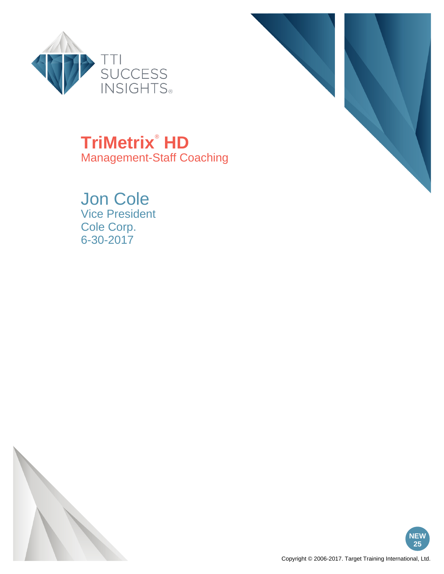



# **TriMetrix**®  **HD**

Management-Staff Coaching

# Jon Cole

Vice President Cole Corp. 6-30-2017



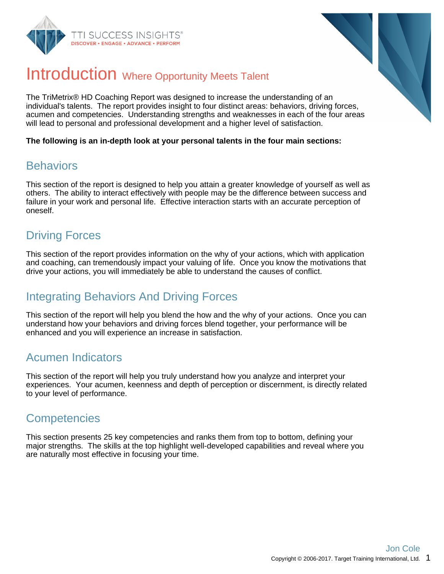



### Introduction Where Opportunity Meets Talent

The TriMetrix® HD Coaching Report was designed to increase the understanding of an individual's talents. The report provides insight to four distinct areas: behaviors, driving forces, acumen and competencies. Understanding strengths and weaknesses in each of the four areas will lead to personal and professional development and a higher level of satisfaction.

**The following is an in-depth look at your personal talents in the four main sections:**

### **Behaviors**

This section of the report is designed to help you attain a greater knowledge of yourself as well as others. The ability to interact effectively with people may be the difference between success and failure in your work and personal life. Effective interaction starts with an accurate perception of oneself.

### Driving Forces

This section of the report provides information on the why of your actions, which with application and coaching, can tremendously impact your valuing of life. Once you know the motivations that drive your actions, you will immediately be able to understand the causes of conflict.

### Integrating Behaviors And Driving Forces

This section of the report will help you blend the how and the why of your actions. Once you can understand how your behaviors and driving forces blend together, your performance will be enhanced and you will experience an increase in satisfaction.

### Acumen Indicators

This section of the report will help you truly understand how you analyze and interpret your experiences. Your acumen, keenness and depth of perception or discernment, is directly related to your level of performance.

### **Competencies**

This section presents 25 key competencies and ranks them from top to bottom, defining your major strengths. The skills at the top highlight well-developed capabilities and reveal where you are naturally most effective in focusing your time.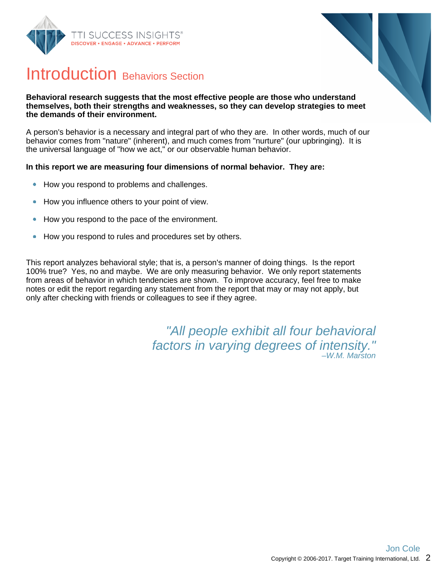



### Introduction Behaviors Section

#### **Behavioral research suggests that the most effective people are those who understand themselves, both their strengths and weaknesses, so they can develop strategies to meet the demands of their environment.**

A person's behavior is a necessary and integral part of who they are. In other words, much of our behavior comes from "nature" (inherent), and much comes from "nurture" (our upbringing). It is the universal language of "how we act," or our observable human behavior.

#### **In this report we are measuring four dimensions of normal behavior. They are:**

- How you respond to problems and challenges.  $\bullet$
- How you influence others to your point of view.  $\bullet$
- How you respond to the pace of the environment.  $\bullet$
- How you respond to rules and procedures set by others.  $\bullet$

This report analyzes behavioral style; that is, a person's manner of doing things. Is the report 100% true? Yes, no and maybe. We are only measuring behavior. We only report statements from areas of behavior in which tendencies are shown. To improve accuracy, feel free to make notes or edit the report regarding any statement from the report that may or may not apply, but only after checking with friends or colleagues to see if they agree.

> "All people exhibit all four behavioral factors in varying degrees of intensity." –W.M. Marston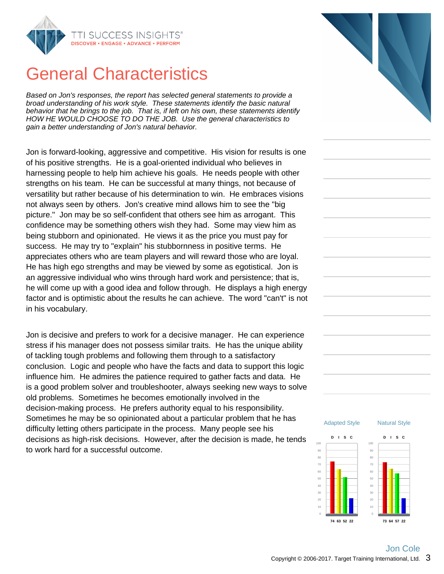

### General Characteristics

Based on Jon's responses, the report has selected general statements to provide a broad understanding of his work style. These statements identify the basic natural behavior that he brings to the job. That is, if left on his own, these statements identify HOW HE WOULD CHOOSE TO DO THE JOB. Use the general characteristics to gain a better understanding of Jon's natural behavior.

Jon is forward-looking, aggressive and competitive. His vision for results is one of his positive strengths. He is a goal-oriented individual who believes in harnessing people to help him achieve his goals. He needs people with other strengths on his team. He can be successful at many things, not because of versatility but rather because of his determination to win. He embraces visions not always seen by others. Jon's creative mind allows him to see the "big picture." Jon may be so self-confident that others see him as arrogant. This confidence may be something others wish they had. Some may view him as being stubborn and opinionated. He views it as the price you must pay for success. He may try to "explain" his stubbornness in positive terms. He appreciates others who are team players and will reward those who are loyal. He has high ego strengths and may be viewed by some as egotistical. Jon is an aggressive individual who wins through hard work and persistence; that is, he will come up with a good idea and follow through. He displays a high energy factor and is optimistic about the results he can achieve. The word "can't" is not in his vocabulary.

Jon is decisive and prefers to work for a decisive manager. He can experience stress if his manager does not possess similar traits. He has the unique ability of tackling tough problems and following them through to a satisfactory conclusion. Logic and people who have the facts and data to support this logic influence him. He admires the patience required to gather facts and data. He is a good problem solver and troubleshooter, always seeking new ways to solve old problems. Sometimes he becomes emotionally involved in the decision-making process. He prefers authority equal to his responsibility. Sometimes he may be so opinionated about a particular problem that he has difficulty letting others participate in the process. Many people see his decisions as high-risk decisions. However, after the decision is made, he tends to work hard for a successful outcome.



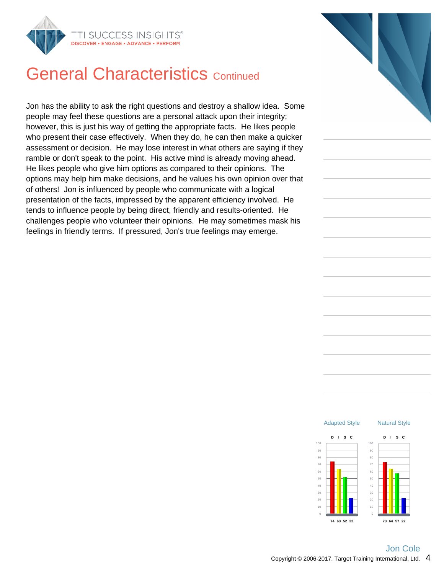

### **General Characteristics Continued**

Jon has the ability to ask the right questions and destroy a shallow idea. Some people may feel these questions are a personal attack upon their integrity; however, this is just his way of getting the appropriate facts. He likes people who present their case effectively. When they do, he can then make a quicker assessment or decision. He may lose interest in what others are saying if they ramble or don't speak to the point. His active mind is already moving ahead. He likes people who give him options as compared to their opinions. The options may help him make decisions, and he values his own opinion over that of others! Jon is influenced by people who communicate with a logical presentation of the facts, impressed by the apparent efficiency involved. He tends to influence people by being direct, friendly and results-oriented. He challenges people who volunteer their opinions. He may sometimes mask his feelings in friendly terms. If pressured, Jon's true feelings may emerge.



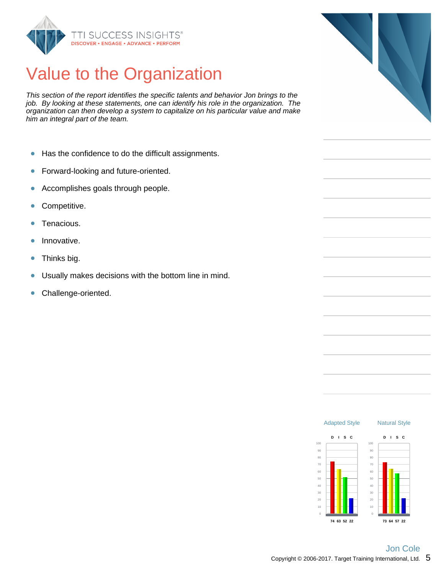

# Value to the Organization

This section of the report identifies the specific talents and behavior Jon brings to the job. By looking at these statements, one can identify his role in the organization. The organization can then develop a system to capitalize on his particular value and make him an integral part of the team.

- $\bullet$ Has the confidence to do the difficult assignments.
- Forward-looking and future-oriented.  $\bullet$
- Accomplishes goals through people.  $\bullet$
- Competitive.  $\bullet$
- Tenacious.  $\bullet$
- Innovative.  $\bullet$
- $\bullet$ Thinks big.
- Usually makes decisions with the bottom line in mind.  $\bullet$
- Challenge-oriented.  $\bullet$



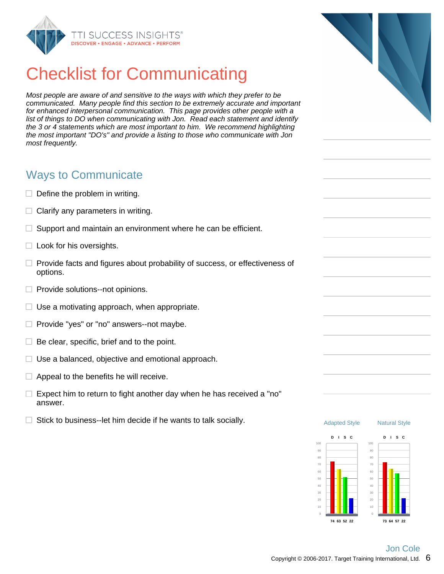

# Checklist for Communicating

Most people are aware of and sensitive to the ways with which they prefer to be communicated. Many people find this section to be extremely accurate and important for enhanced interpersonal communication. This page provides other people with a list of things to DO when communicating with Jon. Read each statement and identify the 3 or 4 statements which are most important to him. We recommend highlighting the most important "DO's" and provide a listing to those who communicate with Jon most frequently.

### Ways to Communicate

- $\Box$  Define the problem in writing.
- $\Box$  Clarify any parameters in writing.
- Π. Support and maintain an environment where he can be efficient.
- $\Box$  Look for his oversights.
- $\Box$  Provide facts and figures about probability of success, or effectiveness of options.
- $\Box$  Provide solutions--not opinions.
- $\Box$  Use a motivating approach, when appropriate.
- $\Box$  Provide "yes" or "no" answers--not maybe.
- $\Box$  Be clear, specific, brief and to the point.
- $\Box$  Use a balanced, objective and emotional approach.
- $\Box$  Appeal to the benefits he will receive.
- $\Box$  Expect him to return to fight another day when he has received a "no" answer.
- $\Box$  Stick to business--let him decide if he wants to talk socially.



**73 64 57 22**



**74 63 52 22**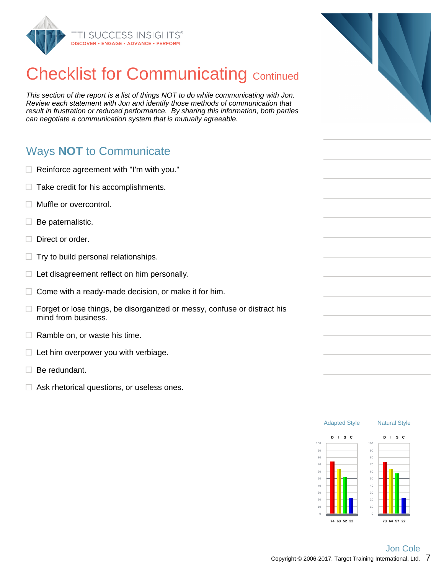

# **Checklist for Communicating Continued**

This section of the report is a list of things NOT to do while communicating with Jon. Review each statement with Jon and identify those methods of communication that result in frustration or reduced performance. By sharing this information, both parties can negotiate a communication system that is mutually agreeable.

### Ways **NOT** to Communicate

- $\Box$  Reinforce agreement with "I'm with you."
- $\Box$  Take credit for his accomplishments.
- $\Box$  Muffle or overcontrol.
- $\Box$  Be paternalistic.
- $\Box$  Direct or order.
- $\Box$  Try to build personal relationships.
- $\Box$  Let disagreement reflect on him personally.
- $\Box$  Come with a ready-made decision, or make it for him.
- $\Box$  Forget or lose things, be disorganized or messy, confuse or distract his mind from business.
- $\Box$  Ramble on, or waste his time.
- $\Box$  Let him overpower you with verbiage.
- $\Box$  Be redundant.
- $\Box$  Ask rhetorical questions, or useless ones.



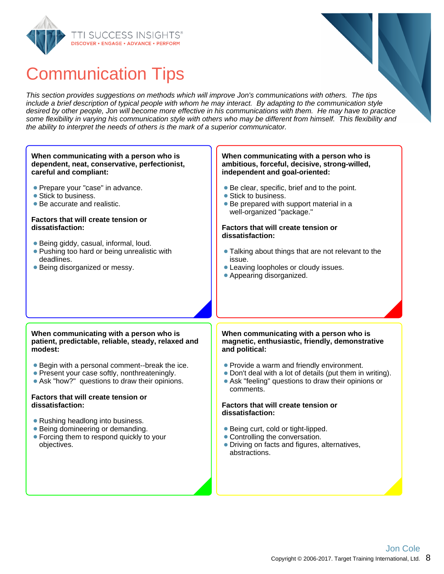

### Communication Tips

This section provides suggestions on methods which will improve Jon's communications with others. The tips include a brief description of typical people with whom he may interact. By adapting to the communication style desired by other people, Jon will become more effective in his communications with them. He may have to practice some flexibility in varying his communication style with others who may be different from himself. This flexibility and the ability to interpret the needs of others is the mark of a superior communicator.

#### **When communicating with a person who is dependent, neat, conservative, perfectionist, careful and compliant:**

- **Prepare your "case" in advance.**
- Stick to business.
- Be accurate and realistic.

#### **Factors that will create tension or dissatisfaction:**

- Being giddy, casual, informal, loud.
- **Pushing too hard or being unrealistic with** deadlines.
- Being disorganized or messy.

#### **When communicating with a person who is ambitious, forceful, decisive, strong-willed, independent and goal-oriented:**

- Be clear, specific, brief and to the point.
- Stick to business.
- Be prepared with support material in a well-organized "package."

#### **Factors that will create tension or dissatisfaction:**

- Talking about things that are not relevant to the issue.
- Leaving loopholes or cloudy issues.
- Appearing disorganized.

#### **When communicating with a person who is patient, predictable, reliable, steady, relaxed and modest:**

- Begin with a personal comment--break the ice.
- Present your case softly, nonthreateningly.
- Ask "how?" questions to draw their opinions.

#### **Factors that will create tension or dissatisfaction:**

- Rushing headlong into business.
- Being domineering or demanding.
- Forcing them to respond quickly to your objectives.

#### **When communicating with a person who is magnetic, enthusiastic, friendly, demonstrative and political:**

- Provide a warm and friendly environment.
- Don't deal with a lot of details (put them in writing).
- Ask "feeling" questions to draw their opinions or comments.

#### **Factors that will create tension or dissatisfaction:**

- Being curt, cold or tight-lipped.
- Controlling the conversation.
- Driving on facts and figures, alternatives, abstractions.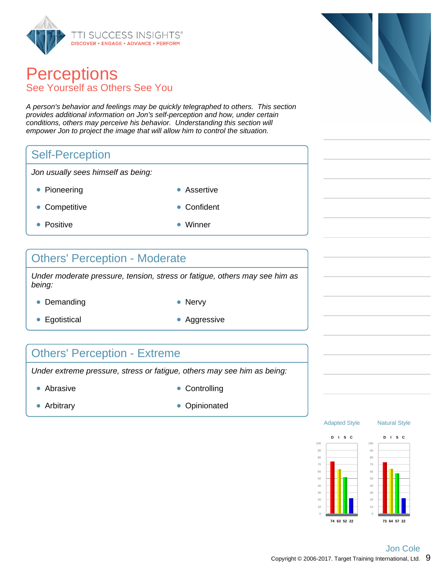

### **Perceptions** See Yourself as Others See You

A person's behavior and feelings may be quickly telegraphed to others. This section provides additional information on Jon's self-perception and how, under certain conditions, others may perceive his behavior. Understanding this section will empower Jon to project the image that will allow him to control the situation.

### Self-Perception

Jon usually sees himself as being:

- Pioneering **Assertive Assertive**
- Competitive **Confident**
- Positive **Winner**
- 

### Others' Perception - Moderate

Under moderate pressure, tension, stress or fatigue, others may see him as being:

- Demanding Nervy
	-
- Egotistical **Aggressive** Aggressive
- 

### Others' Perception - Extreme

Under extreme pressure, stress or fatigue, others may see him as being:

- Abrasive **Controlling** 
	-

- 
- Arbitrary **Opinionated Opinionated**







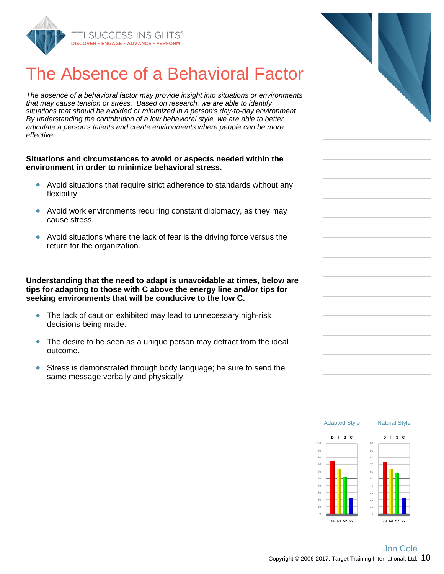

# The Absence of a Behavioral Factor

The absence of a behavioral factor may provide insight into situations or environments that may cause tension or stress. Based on research, we are able to identify situations that should be avoided or minimized in a person's day-to-day environment. By understanding the contribution of a low behavioral style, we are able to better articulate a person's talents and create environments where people can be more effective.

#### **Situations and circumstances to avoid or aspects needed within the environment in order to minimize behavioral stress.**

- Avoid situations that require strict adherence to standards without any flexibility.
- Avoid work environments requiring constant diplomacy, as they may cause stress.
- Avoid situations where the lack of fear is the driving force versus the  $\bullet$ return for the organization.

**Understanding that the need to adapt is unavoidable at times, below are tips for adapting to those with C above the energy line and/or tips for seeking environments that will be conducive to the low C.**

- The lack of caution exhibited may lead to unnecessary high-risk decisions being made.
- The desire to be seen as a unique person may detract from the ideal outcome.
- $\bullet$ Stress is demonstrated through body language; be sure to send the same message verbally and physically.



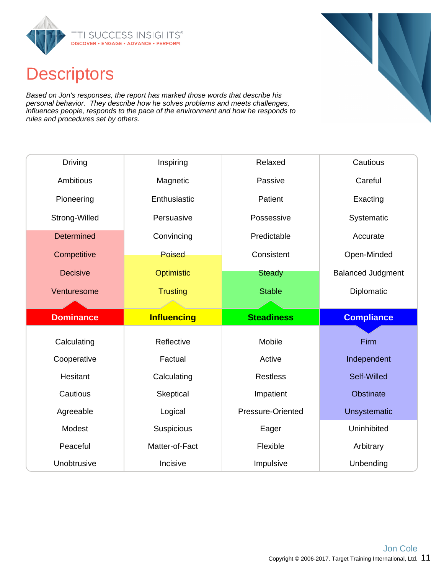

### **Descriptors**

Based on Jon's responses, the report has marked those words that describe his personal behavior. They describe how he solves problems and meets challenges, influences people, responds to the pace of the environment and how he responds to rules and procedures set by others.

| <b>Driving</b>    | Inspiring          | Relaxed           | Cautious                 |  |
|-------------------|--------------------|-------------------|--------------------------|--|
| Ambitious         | Magnetic           | Passive           | Careful                  |  |
| Pioneering        | Enthusiastic       | Patient           | Exacting                 |  |
| Strong-Willed     | Persuasive         | Possessive        | Systematic               |  |
| <b>Determined</b> | Convincing         | Predictable       | Accurate                 |  |
| Competitive       | Poised             | Consistent        | Open-Minded              |  |
| <b>Decisive</b>   | Optimistic         | <b>Steady</b>     | <b>Balanced Judgment</b> |  |
| Venturesome       | <b>Trusting</b>    | <b>Stable</b>     | Diplomatic               |  |
|                   |                    |                   |                          |  |
|                   |                    |                   |                          |  |
| <b>Dominance</b>  | <b>Influencing</b> | <b>Steadiness</b> | <b>Compliance</b>        |  |
|                   |                    |                   |                          |  |
| Calculating       | Reflective         | Mobile            | Firm                     |  |
| Cooperative       | Factual            | Active            | Independent              |  |
| Hesitant          | Calculating        | <b>Restless</b>   | Self-Willed              |  |
| Cautious          | Skeptical          | Impatient         | <b>Obstinate</b>         |  |
| Agreeable         | Logical            | Pressure-Oriented | Unsystematic             |  |
| Modest            | Suspicious         | Eager             | Uninhibited              |  |
| Peaceful          | Matter-of-Fact     | Flexible          | Arbitrary                |  |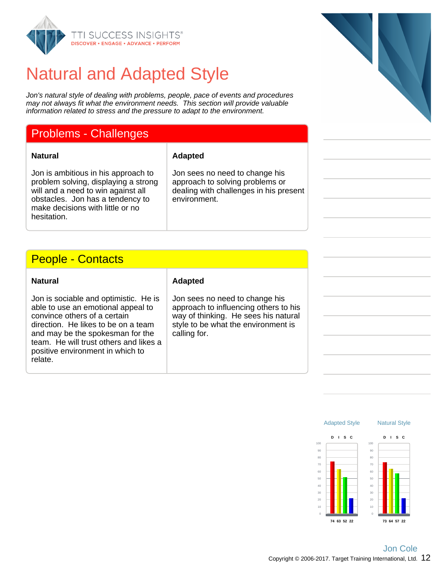

### Natural and Adapted Style

Jon's natural style of dealing with problems, people, pace of events and procedures may not always fit what the environment needs. This section will provide valuable information related to stress and the pressure to adapt to the environment.

### Problems - Challenges

#### **Natural Adapted**

Jon is ambitious in his approach to problem solving, displaying a strong will and a need to win against all obstacles. Jon has a tendency to make decisions with little or no hesitation.

Jon sees no need to change his approach to solving problems or dealing with challenges in his present environment.

### People - Contacts

| <b>Natural</b>                                                                                                                                                                                                                                                                  | <b>Adapted</b>                                                                                                                                                         |  |
|---------------------------------------------------------------------------------------------------------------------------------------------------------------------------------------------------------------------------------------------------------------------------------|------------------------------------------------------------------------------------------------------------------------------------------------------------------------|--|
| Jon is sociable and optimistic. He is<br>able to use an emotional appeal to<br>convince others of a certain<br>direction. He likes to be on a team<br>and may be the spokesman for the<br>team. He will trust others and likes a<br>positive environment in which to<br>relate. | Jon sees no need to change his<br>approach to influencing others to his<br>way of thinking. He sees his natural<br>style to be what the environment is<br>calling for. |  |

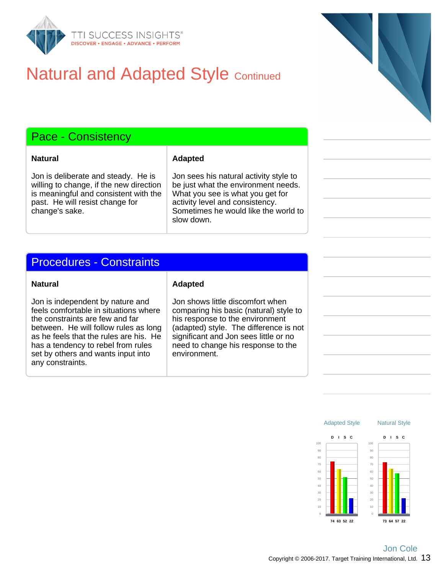

### **Natural and Adapted Style Continued**

### Pace - Consistency

**Natural Adapted**

Jon is deliberate and steady. He is willing to change, if the new direction is meaningful and consistent with the past. He will resist change for change's sake.

Jon sees his natural activity style to be just what the environment needs. What you see is what you get for activity level and consistency. Sometimes he would like the world to slow down.

### Procedures - Constraints

#### **Natural Adapted**

Jon is independent by nature and feels comfortable in situations where the constraints are few and far between. He will follow rules as long as he feels that the rules are his. He has a tendency to rebel from rules set by others and wants input into any constraints.

Jon shows little discomfort when comparing his basic (natural) style to his response to the environment (adapted) style. The difference is not significant and Jon sees little or no need to change his response to the environment.

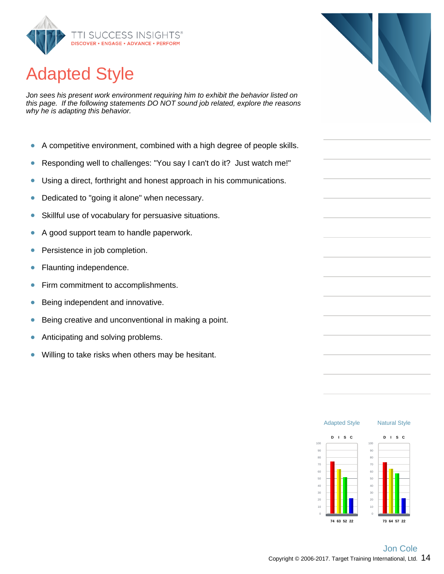

# Adapted Style

Jon sees his present work environment requiring him to exhibit the behavior listed on this page. If the following statements DO NOT sound job related, explore the reasons why he is adapting this behavior.

- A competitive environment, combined with a high degree of people skills.  $\bullet$
- Responding well to challenges: "You say I can't do it? Just watch me!"  $\bullet$
- Using a direct, forthright and honest approach in his communications.  $\bullet$
- Dedicated to "going it alone" when necessary.  $\bullet$
- Skillful use of vocabulary for persuasive situations.  $\bullet$
- A good support team to handle paperwork.  $\bullet$
- $\bullet$ Persistence in job completion.
- Flaunting independence.  $\bullet$
- $\bullet$ Firm commitment to accomplishments.
- Being independent and innovative. ŏ
- Being creative and unconventional in making a point.  $\bullet$
- Anticipating and solving problems. Ŏ
- Willing to take risks when others may be hesitant.  $\bullet$



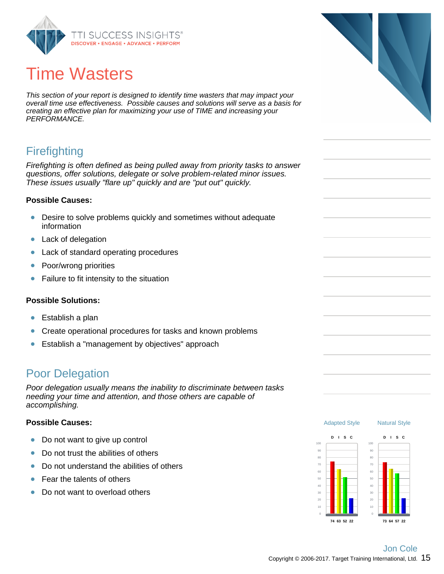

# Time Wasters

This section of your report is designed to identify time wasters that may impact your overall time use effectiveness. Possible causes and solutions will serve as a basis for creating an effective plan for maximizing your use of TIME and increasing your PERFORMANCE.

### **Firefighting**

Firefighting is often defined as being pulled away from priority tasks to answer questions, offer solutions, delegate or solve problem-related minor issues. These issues usually "flare up" quickly and are "put out" quickly.

#### **Possible Causes:**

- Desire to solve problems quickly and sometimes without adequate information
- $\bullet$ Lack of delegation
- $\bullet$ Lack of standard operating procedures
- $\bullet$ Poor/wrong priorities
- $\bullet$ Failure to fit intensity to the situation

#### **Possible Solutions:**

- $\bullet$ Establish a plan
- Create operational procedures for tasks and known problems  $\bullet$
- Establish a "management by objectives" approach  $\bullet$

### Poor Delegation

Poor delegation usually means the inability to discriminate between tasks needing your time and attention, and those others are capable of accomplishing.

#### **Possible Causes:**

- Do not want to give up control  $\bullet$
- Do not trust the abilities of others  $\bullet$
- Do not understand the abilities of others Ŏ
- Fear the talents of others Ŏ
- Do not want to overload others  $\bullet$



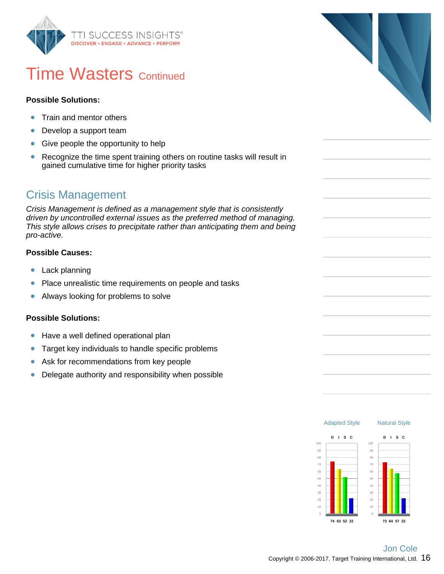

### **Time Wasters Continued**

#### **Possible Solutions:**

- Train and mentor others  $\bullet$
- $\bullet$ Develop a support team
- Give people the opportunity to help  $\bullet$
- Recognize the time spent training others on routine tasks will result in  $\bullet$ gained cumulative time for higher priority tasks

### Crisis Management

Crisis Management is defined as a management style that is consistently driven by uncontrolled external issues as the preferred method of managing. This style allows crises to precipitate rather than anticipating them and being pro-active.

#### **Possible Causes:**

- $\bullet$ Lack planning
- Place unrealistic time requirements on people and tasks  $\bullet$
- $\bullet$ Always looking for problems to solve

#### **Possible Solutions:**

- Have a well defined operational plan  $\bullet$
- Target key individuals to handle specific problems  $\bullet$
- $\bullet$ Ask for recommendations from key people
- Delegate authority and responsibility when possible  $\bullet$



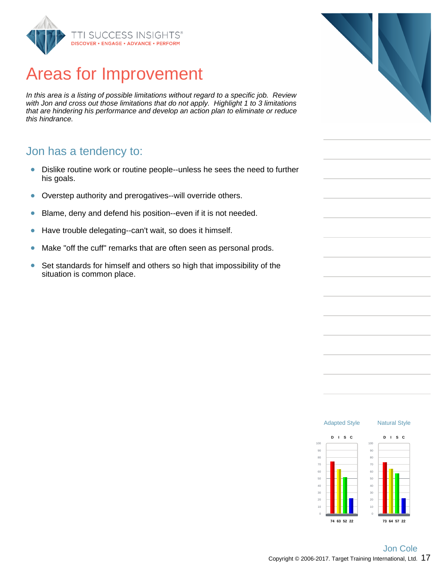

### Areas for Improvement

In this area is a listing of possible limitations without regard to a specific job. Review with Jon and cross out those limitations that do not apply. Highlight 1 to 3 limitations that are hindering his performance and develop an action plan to eliminate or reduce this hindrance.

#### Jon has a tendency to:

- Dislike routine work or routine people--unless he sees the need to further  $\bullet$ his goals.
- Overstep authority and prerogatives--will override others.  $\bullet$
- Blame, deny and defend his position--even if it is not needed.  $\bullet$
- Have trouble delegating--can't wait, so does it himself.  $\bullet$
- Make "off the cuff" remarks that are often seen as personal prods.  $\bullet$
- Set standards for himself and others so high that impossibility of the  $\bullet$ situation is common place.



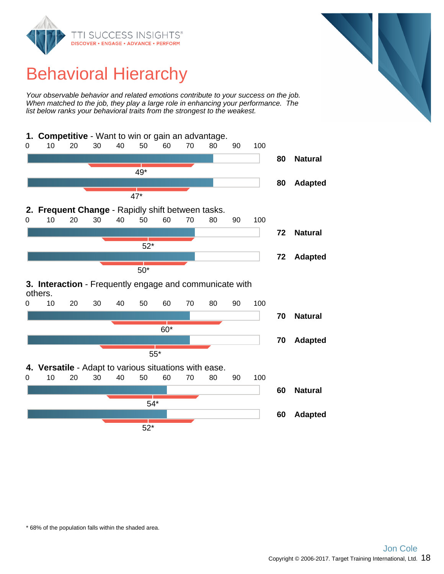

# Behavioral Hierarchy

Your observable behavior and related emotions contribute to your success on the job. When matched to the job, they play a large role in enhancing your performance. The list below ranks your behavioral traits from the strongest to the weakest.

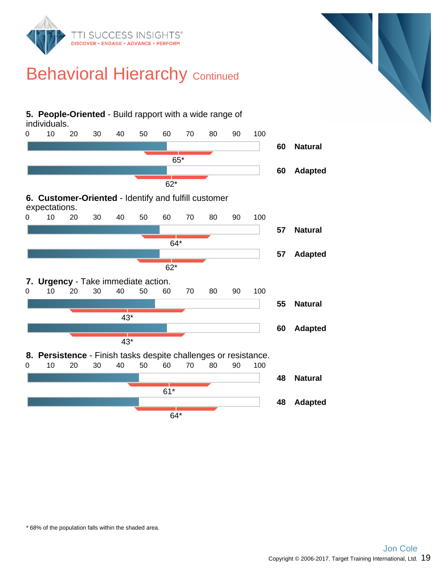

### **Behavioral Hierarchy Continued**

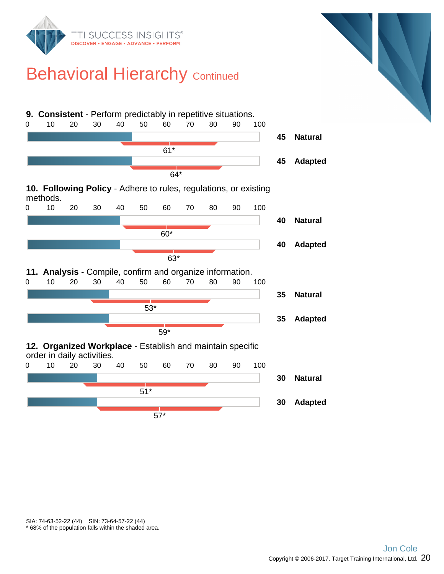

### **Behavioral Hierarchy Continued**

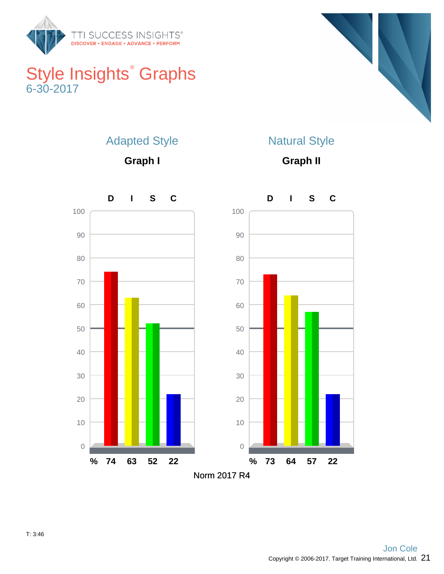

### Style Insights<sup>®</sup> Graphs 6-30-2017



### Adapted Style

**Graph I**

### Natural Style

**Graph II**

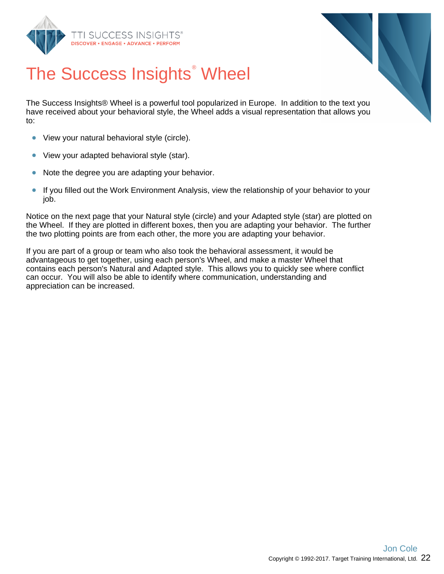



# The Success Insights<sup>®</sup> Wheel

The Success Insights® Wheel is a powerful tool popularized in Europe. In addition to the text you have received about your behavioral style, the Wheel adds a visual representation that allows you to:

- View your natural behavioral style (circle).  $\bullet$
- $\bullet$ View your adapted behavioral style (star).
- $\bullet$ Note the degree you are adapting your behavior.
- $\bullet$ If you filled out the Work Environment Analysis, view the relationship of your behavior to your job.

Notice on the next page that your Natural style (circle) and your Adapted style (star) are plotted on the Wheel. If they are plotted in different boxes, then you are adapting your behavior. The further the two plotting points are from each other, the more you are adapting your behavior.

If you are part of a group or team who also took the behavioral assessment, it would be advantageous to get together, using each person's Wheel, and make a master Wheel that contains each person's Natural and Adapted style. This allows you to quickly see where conflict can occur. You will also be able to identify where communication, understanding and appreciation can be increased.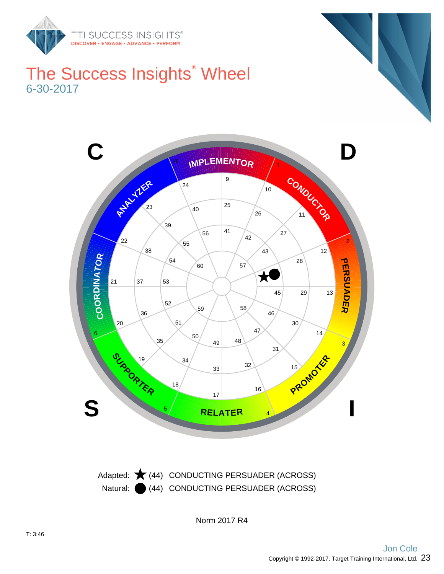

### The Success Insights<sup>®</sup> Wheel 6-30-2017



Natural: (44) CONDUCTING PERSUADER (ACROSS) Adapted:  $\bigstar$  (44) CONDUCTING PERSUADER (ACROSS)

Norm 2017 R4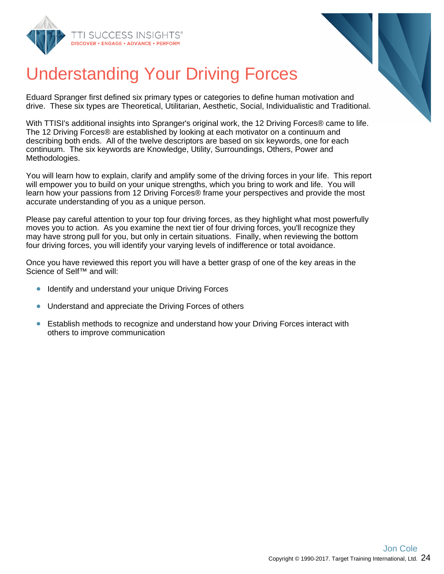



# Understanding Your Driving Forces

Eduard Spranger first defined six primary types or categories to define human motivation and drive. These six types are Theoretical, Utilitarian, Aesthetic, Social, Individualistic and Traditional.

With TTISI's additional insights into Spranger's original work, the 12 Driving Forces® came to life. The 12 Driving Forces® are established by looking at each motivator on a continuum and describing both ends. All of the twelve descriptors are based on six keywords, one for each continuum. The six keywords are Knowledge, Utility, Surroundings, Others, Power and Methodologies.

You will learn how to explain, clarify and amplify some of the driving forces in your life. This report will empower you to build on your unique strengths, which you bring to work and life. You will learn how your passions from 12 Driving Forces® frame your perspectives and provide the most accurate understanding of you as a unique person.

Please pay careful attention to your top four driving forces, as they highlight what most powerfully moves you to action. As you examine the next tier of four driving forces, you'll recognize they may have strong pull for you, but only in certain situations. Finally, when reviewing the bottom four driving forces, you will identify your varying levels of indifference or total avoidance.

Once you have reviewed this report you will have a better grasp of one of the key areas in the Science of Self™ and will:

- Identify and understand your unique Driving Forces
- $\bullet$ Understand and appreciate the Driving Forces of others
- Establish methods to recognize and understand how your Driving Forces interact with  $\bullet$ others to improve communication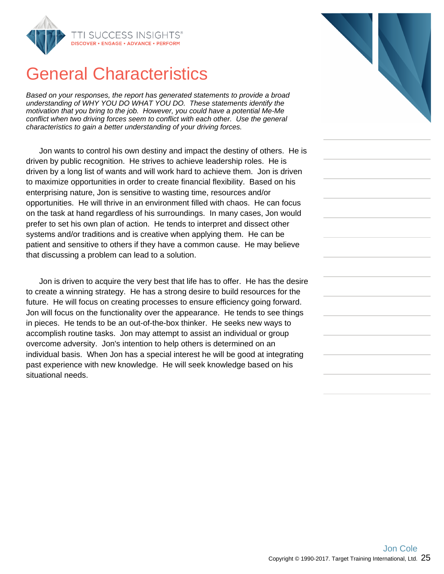

### General Characteristics

Based on your responses, the report has generated statements to provide a broad understanding of WHY YOU DO WHAT YOU DO. These statements identify the motivation that you bring to the job. However, you could have a potential Me-Me conflict when two driving forces seem to conflict with each other. Use the general characteristics to gain a better understanding of your driving forces.

Jon wants to control his own destiny and impact the destiny of others. He is driven by public recognition. He strives to achieve leadership roles. He is driven by a long list of wants and will work hard to achieve them. Jon is driven to maximize opportunities in order to create financial flexibility. Based on his enterprising nature, Jon is sensitive to wasting time, resources and/or opportunities. He will thrive in an environment filled with chaos. He can focus on the task at hand regardless of his surroundings. In many cases, Jon would prefer to set his own plan of action. He tends to interpret and dissect other systems and/or traditions and is creative when applying them. He can be patient and sensitive to others if they have a common cause. He may believe that discussing a problem can lead to a solution.

Jon is driven to acquire the very best that life has to offer. He has the desire to create a winning strategy. He has a strong desire to build resources for the future. He will focus on creating processes to ensure efficiency going forward. Jon will focus on the functionality over the appearance. He tends to see things in pieces. He tends to be an out-of-the-box thinker. He seeks new ways to accomplish routine tasks. Jon may attempt to assist an individual or group overcome adversity. Jon's intention to help others is determined on an individual basis. When Jon has a special interest he will be good at integrating past experience with new knowledge. He will seek knowledge based on his situational needs.



| the control of the control of the control of the control of the control of |
|----------------------------------------------------------------------------|
| <b>Contract Contract</b>                                                   |
| the control of the control of the control of the control of                |
|                                                                            |
|                                                                            |
|                                                                            |
|                                                                            |
|                                                                            |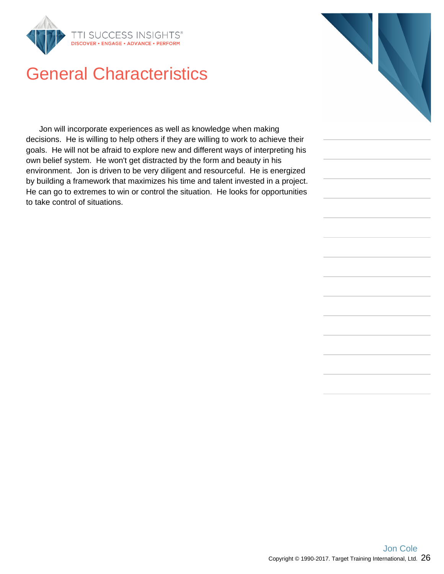

### General Characteristics

Jon will incorporate experiences as well as knowledge when making decisions. He is willing to help others if they are willing to work to achieve their goals. He will not be afraid to explore new and different ways of interpreting his own belief system. He won't get distracted by the form and beauty in his environment. Jon is driven to be very diligent and resourceful. He is energized by building a framework that maximizes his time and talent invested in a project. He can go to extremes to win or control the situation. He looks for opportunities to take control of situations.

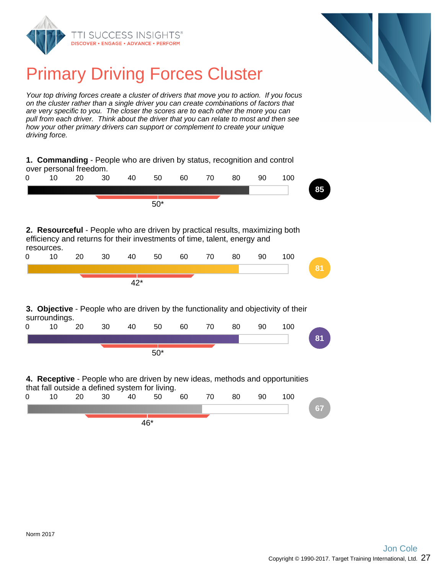



# Primary Driving Forces Cluster

Your top driving forces create a cluster of drivers that move you to action. If you focus on the cluster rather than a single driver you can create combinations of factors that are very specific to you. The closer the scores are to each other the more you can pull from each driver. Think about the driver that you can relate to most and then see how your other primary drivers can support or complement to create your unique driving force.

|                                                                                                                                                                        | 20 | 30 | 40    | 50    | 60 | 70 | 80 | 90 | 100 |
|------------------------------------------------------------------------------------------------------------------------------------------------------------------------|----|----|-------|-------|----|----|----|----|-----|
|                                                                                                                                                                        |    |    |       | $50*$ |    |    |    |    |     |
| 2. Resourceful - People who are driven by practical results, maximizing both<br>efficiency and returns for their investments of time, talent, energy and<br>resources. |    |    |       |       |    |    |    |    |     |
| 10                                                                                                                                                                     | 20 | 30 | 40    | 50    | 60 | 70 | 80 | 90 | 100 |
|                                                                                                                                                                        |    |    |       |       |    |    |    |    |     |
|                                                                                                                                                                        |    |    |       |       |    |    |    |    |     |
|                                                                                                                                                                        |    |    | $42*$ |       |    |    |    |    |     |
|                                                                                                                                                                        |    |    |       |       |    |    |    |    |     |
| 10                                                                                                                                                                     | 20 | 30 | 40    | 50    | 60 | 70 | 80 | 90 | 100 |
| <b>3. Objective</b> - People who are driven by the functionality and objectivity of their<br>surroundings.                                                             |    |    |       |       |    |    |    |    |     |

46\*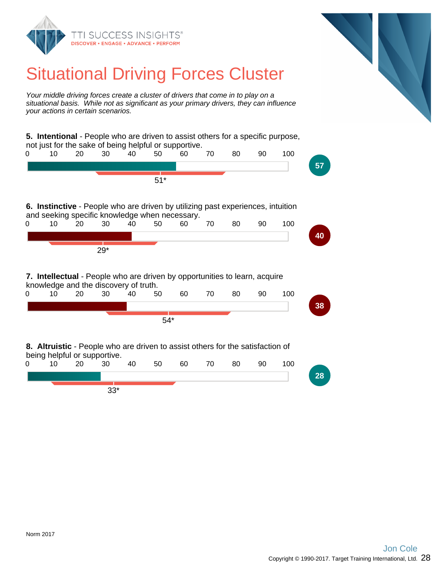

### Situational Driving Forces Cluster

Your middle driving forces create a cluster of drivers that come in to play on a situational basis. While not as significant as your primary drivers, they can influence your actions in certain scenarios.

**5. Intentional** - People who are driven to assist others for a specific purpose, not just for the sake of being helpful or supportive. 0 10 20 30 40 50 60 70 80 90 100 **57** 51\* **6. Instinctive** - People who are driven by utilizing past experiences, intuition and seeking specific knowledge when necessary. 0 10 20 30 40 50 60 70 80 90 100 **40** 29\* **7. Intellectual** - People who are driven by opportunities to learn, acquire knowledge and the discovery of truth.<br>0 10 20 30 40 50 0 10 20 30 40 50 60 70 80 90 100 **38** 54\* **8. Altruistic** - People who are driven to assist others for the satisfaction of being helpful or supportive. 0 10 20 30 40 50 60 70 80 90 100 **28**

33\*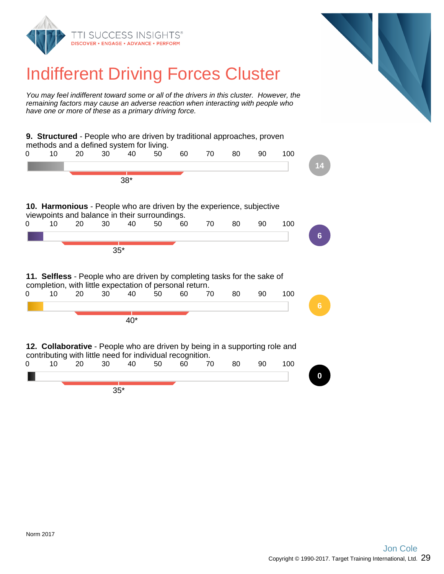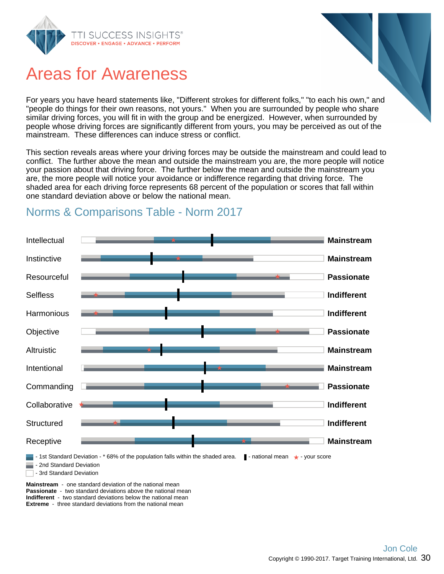

### Areas for Awareness

For years you have heard statements like, "Different strokes for different folks," "to each his own," and "people do things for their own reasons, not yours." When you are surrounded by people who share similar driving forces, you will fit in with the group and be energized. However, when surrounded by people whose driving forces are significantly different from yours, you may be perceived as out of the mainstream. These differences can induce stress or conflict.

This section reveals areas where your driving forces may be outside the mainstream and could lead to conflict. The further above the mean and outside the mainstream you are, the more people will notice your passion about that driving force. The further below the mean and outside the mainstream you are, the more people will notice your avoidance or indifference regarding that driving force. The shaded area for each driving force represents 68 percent of the population or scores that fall within one standard deviation above or below the national mean.



### Norms & Comparisons Table - Norm 2017

**Passionate** - two standard deviations above the national mean **Indifferent** - two standard deviations below the national mean **Extreme** - three standard deviations from the national mean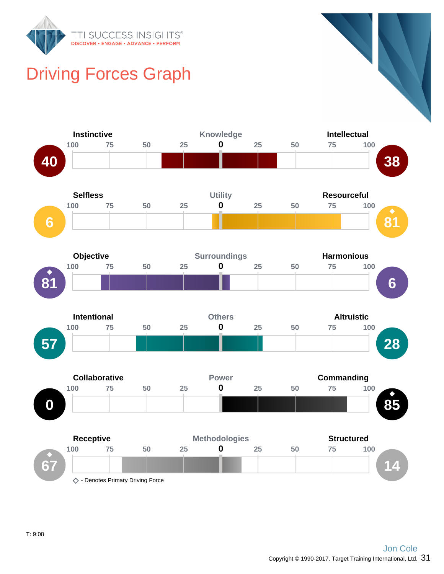

# Driving Forces Graph

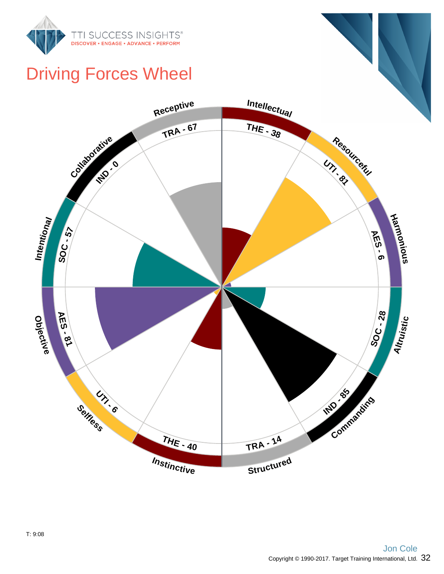

# Driving Forces Wheel

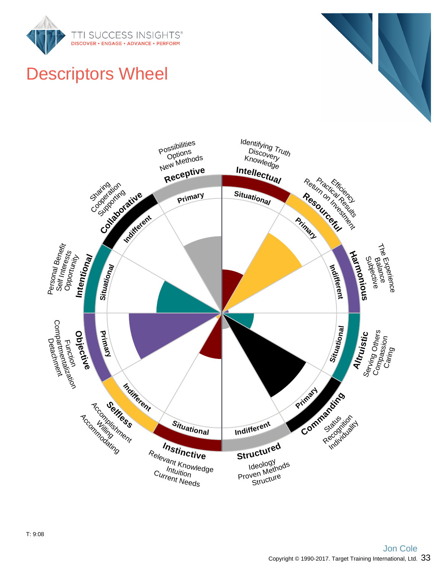



# Descriptors Wheel

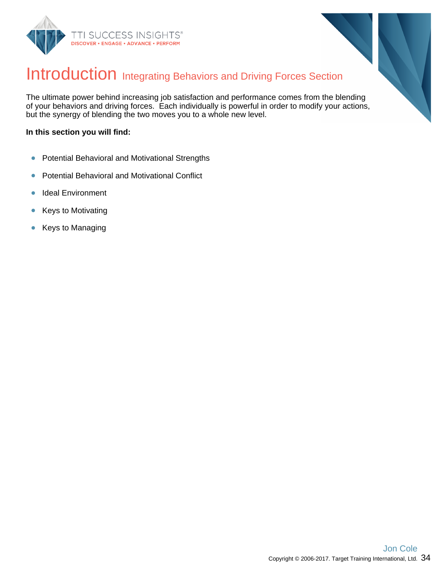



### Introduction Integrating Behaviors and Driving Forces Section

The ultimate power behind increasing job satisfaction and performance comes from the blending of your behaviors and driving forces. Each individually is powerful in order to modify your actions, but the synergy of blending the two moves you to a whole new level.

#### **In this section you will find:**

- Potential Behavioral and Motivational Strengths  $\bullet$
- Potential Behavioral and Motivational Conflict  $\bullet$
- Ideal Environment  $\bullet$
- Keys to Motivating  $\bullet$
- Keys to Managing  $\bullet$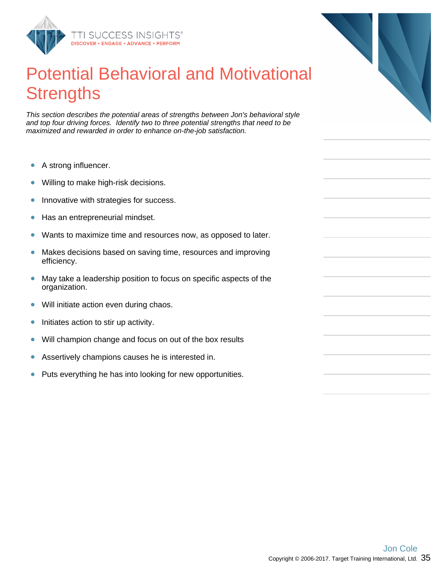

### Potential Behavioral and Motivational **Strengths**

This section describes the potential areas of strengths between Jon's behavioral style and top four driving forces. Identify two to three potential strengths that need to be maximized and rewarded in order to enhance on-the-job satisfaction.

- A strong influencer.  $\bullet$
- Willing to make high-risk decisions.  $\bullet$
- Innovative with strategies for success.  $\bullet$
- Has an entrepreneurial mindset.  $\bullet$
- Wants to maximize time and resources now, as opposed to later.  $\bullet$
- Makes decisions based on saving time, resources and improving  $\bullet$ efficiency.
- May take a leadership position to focus on specific aspects of the  $\bullet$ organization.
- Will initiate action even during chaos.  $\bullet$
- Initiates action to stir up activity.  $\bullet$
- $\bullet$ Will champion change and focus on out of the box results
- Assertively champions causes he is interested in.  $\bullet$
- Puts everything he has into looking for new opportunities.  $\bullet$

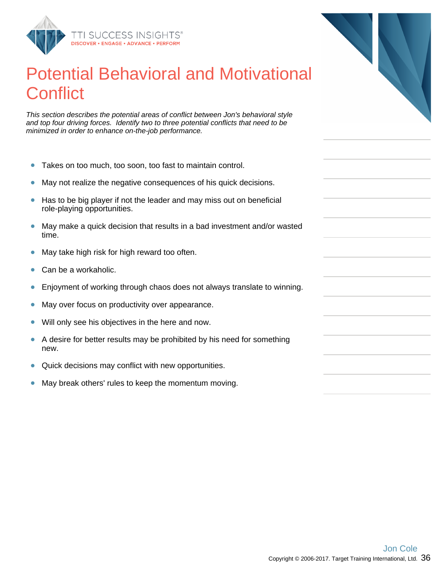

### Potential Behavioral and Motivational **Conflict**

This section describes the potential areas of conflict between Jon's behavioral style and top four driving forces. Identify two to three potential conflicts that need to be minimized in order to enhance on-the-job performance.

- Takes on too much, too soon, too fast to maintain control.  $\bullet$
- May not realize the negative consequences of his quick decisions.  $\bullet$
- Has to be big player if not the leader and may miss out on beneficial  $\bullet$ role-playing opportunities.
- $\bullet$ May make a quick decision that results in a bad investment and/or wasted time.
- May take high risk for high reward too often.  $\bullet$
- $\bullet$ Can be a workaholic.
- $\bullet$ Enjoyment of working through chaos does not always translate to winning.
- May over focus on productivity over appearance.  $\bullet$
- Will only see his objectives in the here and now.  $\bullet$
- A desire for better results may be prohibited by his need for something  $\bullet$ new.
- $\bullet$ Quick decisions may conflict with new opportunities.
- May break others' rules to keep the momentum moving.  $\bullet$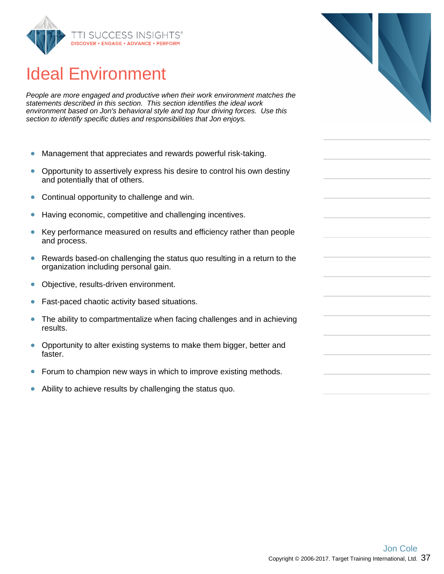

## Ideal Environment

People are more engaged and productive when their work environment matches the statements described in this section. This section identifies the ideal work environment based on Jon's behavioral style and top four driving forces. Use this section to identify specific duties and responsibilities that Jon enjoys.

- $\bullet$ Management that appreciates and rewards powerful risk-taking.
- Opportunity to assertively express his desire to control his own destiny  $\bullet$ and potentially that of others.
- $\bullet$ Continual opportunity to challenge and win.
- Having economic, competitive and challenging incentives.  $\bullet$
- Key performance measured on results and efficiency rather than people  $\bullet$ and process.
- Rewards based-on challenging the status quo resulting in a return to the  $\bullet$ organization including personal gain.
- Objective, results-driven environment.  $\bullet$
- Fast-paced chaotic activity based situations.  $\bullet$
- The ability to compartmentalize when facing challenges and in achieving  $\bullet$ results.
- $\bullet$ Opportunity to alter existing systems to make them bigger, better and faster.
- $\bullet$ Forum to champion new ways in which to improve existing methods.
- Ability to achieve results by challenging the status quo.  $\bullet$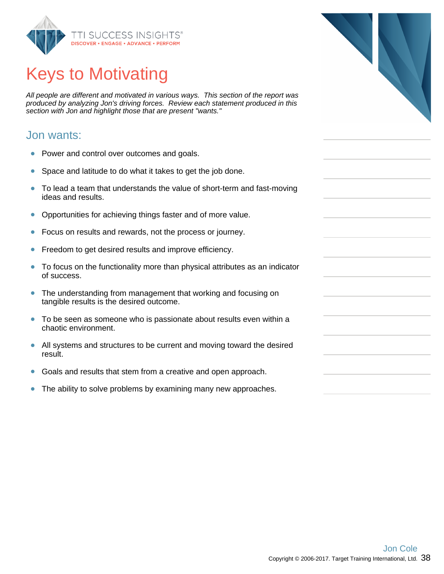

# Keys to Motivating

All people are different and motivated in various ways. This section of the report was produced by analyzing Jon's driving forces. Review each statement produced in this section with Jon and highlight those that are present "wants."

#### Jon wants:

- $\bullet$ Power and control over outcomes and goals.
- Space and latitude to do what it takes to get the job done.  $\bullet$
- To lead a team that understands the value of short-term and fast-moving  $\bullet$ ideas and results.
- Opportunities for achieving things faster and of more value.  $\bullet$
- Focus on results and rewards, not the process or journey.  $\bullet$
- Freedom to get desired results and improve efficiency.  $\bullet$
- To focus on the functionality more than physical attributes as an indicator  $\bullet$ of success.
- The understanding from management that working and focusing on  $\bullet$ tangible results is the desired outcome.
- To be seen as someone who is passionate about results even within a chaotic environment.
- $\bullet$ All systems and structures to be current and moving toward the desired result.
- $\bullet$ Goals and results that stem from a creative and open approach.
- The ability to solve problems by examining many new approaches.  $\bullet$

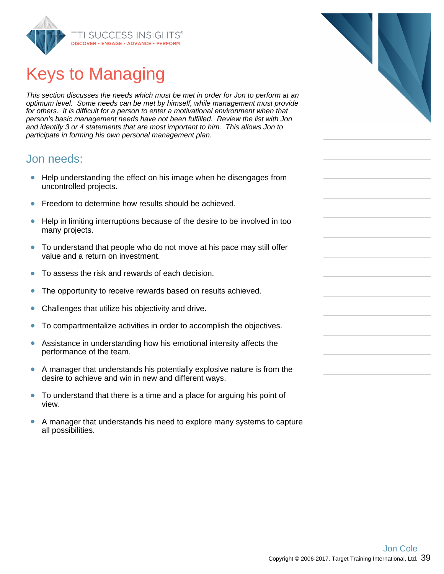

# Keys to Managing

This section discusses the needs which must be met in order for Jon to perform at an optimum level. Some needs can be met by himself, while management must provide for others. It is difficult for a person to enter a motivational environment when that person's basic management needs have not been fulfilled. Review the list with Jon and identify 3 or 4 statements that are most important to him. This allows Jon to participate in forming his own personal management plan.

#### Jon needs:

- Help understanding the effect on his image when he disengages from uncontrolled projects.
- Freedom to determine how results should be achieved.  $\bullet$
- Help in limiting interruptions because of the desire to be involved in too  $\bullet$ many projects.
- To understand that people who do not move at his pace may still offer value and a return on investment.
- To assess the risk and rewards of each decision.  $\bullet$
- $\bullet$ The opportunity to receive rewards based on results achieved.
- Challenges that utilize his objectivity and drive.  $\bullet$
- To compartmentalize activities in order to accomplish the objectives.  $\bullet$
- Assistance in understanding how his emotional intensity affects the  $\bullet$ performance of the team.
- $\bullet$ A manager that understands his potentially explosive nature is from the desire to achieve and win in new and different ways.
- To understand that there is a time and a place for arguing his point of  $\bullet$ view.
- $\bullet$ A manager that understands his need to explore many systems to capture all possibilities.

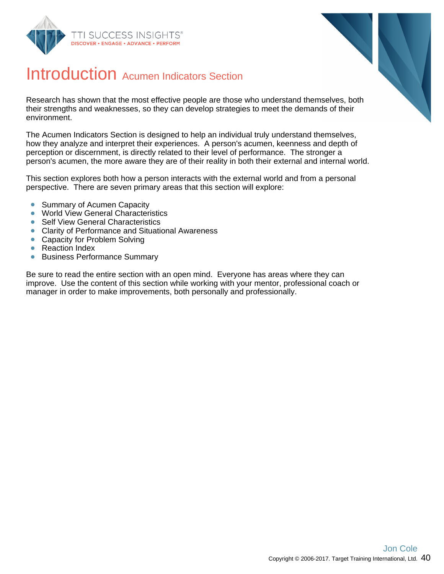



### Introduction Acumen Indicators Section

Research has shown that the most effective people are those who understand themselves, both their strengths and weaknesses, so they can develop strategies to meet the demands of their environment.

The Acumen Indicators Section is designed to help an individual truly understand themselves, how they analyze and interpret their experiences. A person's acumen, keenness and depth of perception or discernment, is directly related to their level of performance. The stronger a person's acumen, the more aware they are of their reality in both their external and internal world.

This section explores both how a person interacts with the external world and from a personal perspective. There are seven primary areas that this section will explore:

- $\bullet$ Summary of Acumen Capacity
- **World View General Characteristics**
- $\bullet$ Self View General Characteristics
- Clarity of Performance and Situational Awareness
- $\bullet$ Capacity for Problem Solving
- Reaction Index  $\bullet$
- Business Performance Summary  $\bullet$

Be sure to read the entire section with an open mind. Everyone has areas where they can improve. Use the content of this section while working with your mentor, professional coach or manager in order to make improvements, both personally and professionally.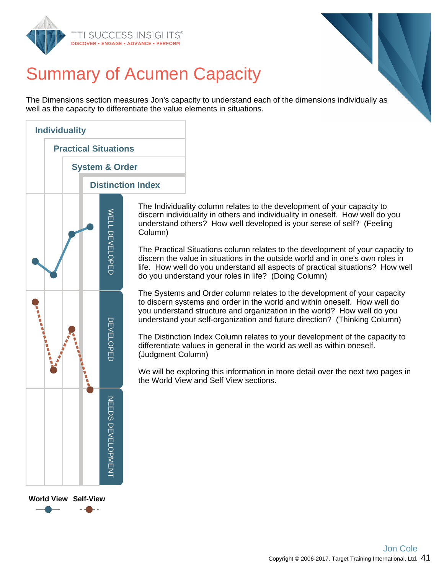



# Summary of Acumen Capacity

The Dimensions section measures Jon's capacity to understand each of the dimensions individually as well as the capacity to differentiate the value elements in situations.



The Individuality column relates to the development of your capacity to discern individuality in others and individuality in oneself. How well do you understand others? How well developed is your sense of self? (Feeling Column)

The Practical Situations column relates to the development of your capacity to discern the value in situations in the outside world and in one's own roles in life. How well do you understand all aspects of practical situations? How well do you understand your roles in life? (Doing Column)

The Systems and Order column relates to the development of your capacity to discern systems and order in the world and within oneself. How well do you understand structure and organization in the world? How well do you understand your self-organization and future direction? (Thinking Column)

The Distinction Index Column relates to your development of the capacity to differentiate values in general in the world as well as within oneself. (Judgment Column)

We will be exploring this information in more detail over the next two pages in the World View and Self View sections.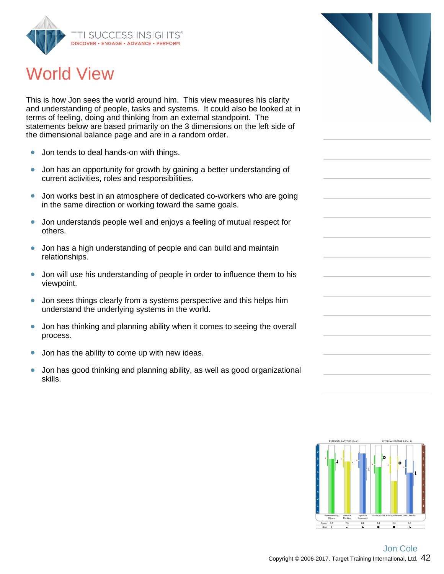

### World View

This is how Jon sees the world around him. This view measures his clarity and understanding of people, tasks and systems. It could also be looked at in terms of feeling, doing and thinking from an external standpoint. The statements below are based primarily on the 3 dimensions on the left side of the dimensional balance page and are in a random order.

- Jon tends to deal hands-on with things.  $\bullet$
- Jon has an opportunity for growth by gaining a better understanding of  $\bullet$ current activities, roles and responsibilities.
- $\bullet$ Jon works best in an atmosphere of dedicated co-workers who are going in the same direction or working toward the same goals.
- $\bullet$ Jon understands people well and enjoys a feeling of mutual respect for others.
- Jon has a high understanding of people and can build and maintain relationships.
- Jon will use his understanding of people in order to influence them to his  $\bullet$ viewpoint.
- $\bullet$ Jon sees things clearly from a systems perspective and this helps him understand the underlying systems in the world.
- Jon has thinking and planning ability when it comes to seeing the overall  $\bullet$ process.
- Jon has the ability to come up with new ideas.  $\bullet$
- Jon has good thinking and planning ability, as well as good organizational  $\bullet$ skills.



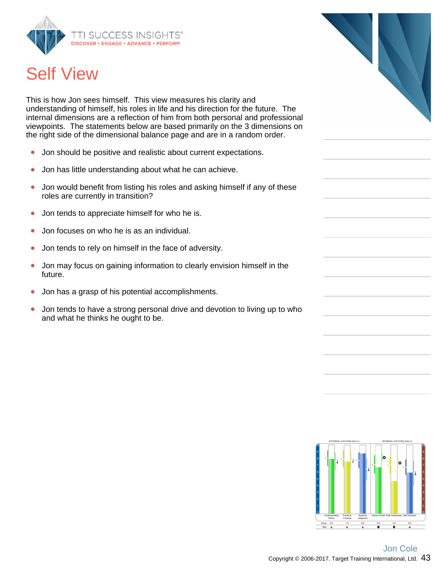

# Self View

This is how Jon sees himself. This view measures his clarity and understanding of himself, his roles in life and his direction for the future. The internal dimensions are a reflection of him from both personal and professional viewpoints. The statements below are based primarily on the 3 dimensions on the right side of the dimensional balance page and are in a random order.

- Jon should be positive and realistic about current expectations.  $\bullet$
- Jon has little understanding about what he can achieve.  $\bullet$
- Jon would benefit from listing his roles and asking himself if any of these  $\bullet$ roles are currently in transition?
- Jon tends to appreciate himself for who he is.  $\bullet$
- Jon focuses on who he is as an individual.  $\bullet$
- Jon tends to rely on himself in the face of adversity.  $\bullet$
- Jon may focus on gaining information to clearly envision himself in the  $\bullet$ future.
- Jon has a grasp of his potential accomplishments.  $\bullet$
- Jon tends to have a strong personal drive and devotion to living up to who  $\bullet$ and what he thinks he ought to be.



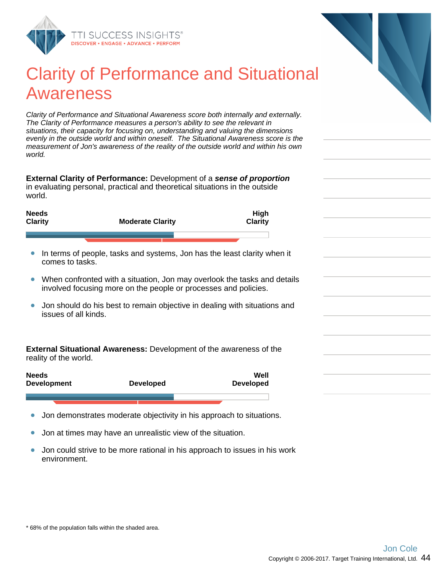

### Clarity of Performance and Situational Awareness

Clarity of Performance and Situational Awareness score both internally and externally. The Clarity of Performance measures a person's ability to see the relevant in situations, their capacity for focusing on, understanding and valuing the dimensions evenly in the outside world and within oneself. The Situational Awareness score is the measurement of Jon's awareness of the reality of the outside world and within his own world.

**External Clarity of Performance:** Development of a **sense of proportion** in evaluating personal, practical and theoretical situations in the outside world.

| <b>Needs</b><br><b>Clarity</b> | <b>Moderate Clarity</b> | <b>High</b><br><b>Clarity</b> |
|--------------------------------|-------------------------|-------------------------------|
|                                |                         |                               |
|                                |                         |                               |

- In terms of people, tasks and systems, Jon has the least clarity when it  $\bullet$ comes to tasks.
- When confronted with a situation, Jon may overlook the tasks and details involved focusing more on the people or processes and policies.
- Jon should do his best to remain objective in dealing with situations and issues of all kinds.

**External Situational Awareness:** Development of the awareness of the reality of the world.

| <b>Needs</b><br><b>Development</b> | <b>Developed</b> | Well<br>Developed |
|------------------------------------|------------------|-------------------|
|                                    |                  |                   |

- Jon demonstrates moderate objectivity in his approach to situations.  $\bullet$
- Jon at times may have an unrealistic view of the situation.  $\bullet$
- Jon could strive to be more rational in his approach to issues in his work  $\bullet$ environment.

<sup>\* 68%</sup> of the population falls within the shaded area.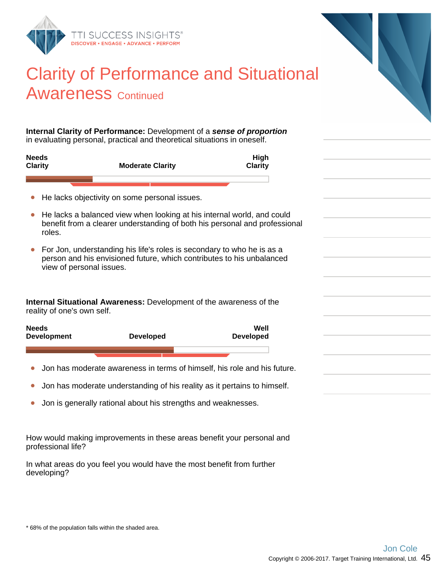

### Clarity of Performance and Situational **Awareness Continued**

**Internal Clarity of Performance:** Development of a **sense of proportion** in evaluating personal, practical and theoretical situations in oneself.

| <b>Needs</b><br><b>Clarity</b> | <b>Moderate Clarity</b> | High<br><b>Clarity</b> |
|--------------------------------|-------------------------|------------------------|
|                                |                         |                        |

- He lacks objectivity on some personal issues.
- He lacks a balanced view when looking at his internal world, and could  $\bullet$ benefit from a clearer understanding of both his personal and professional roles.
- For Jon, understanding his life's roles is secondary to who he is as a person and his envisioned future, which contributes to his unbalanced view of personal issues.

**Internal Situational Awareness:** Development of the awareness of the reality of one's own self.

| <b>Needs</b><br><b>Development</b> | <b>Developed</b> | Well<br><b>Developed</b> |
|------------------------------------|------------------|--------------------------|
|                                    |                  |                          |
|                                    |                  |                          |

- $\bullet$ Jon has moderate awareness in terms of himself, his role and his future.
- $\bullet$ Jon has moderate understanding of his reality as it pertains to himself.
- Jon is generally rational about his strengths and weaknesses.  $\bullet$

How would making improvements in these areas benefit your personal and professional life?

In what areas do you feel you would have the most benefit from further developing?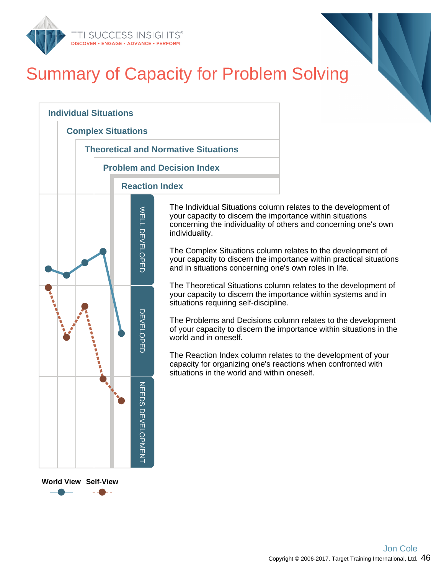

# Summary of Capacity for Problem Solving



The Individual Situations column relates to the development of your capacity to discern the importance within situations concerning the individuality of others and concerning one's own

The Complex Situations column relates to the development of your capacity to discern the importance within practical situations and in situations concerning one's own roles in life.

The Theoretical Situations column relates to the development of your capacity to discern the importance within systems and in situations requiring self-discipline.

The Problems and Decisions column relates to the development of your capacity to discern the importance within situations in the

The Reaction Index column relates to the development of your capacity for organizing one's reactions when confronted with situations in the world and within oneself.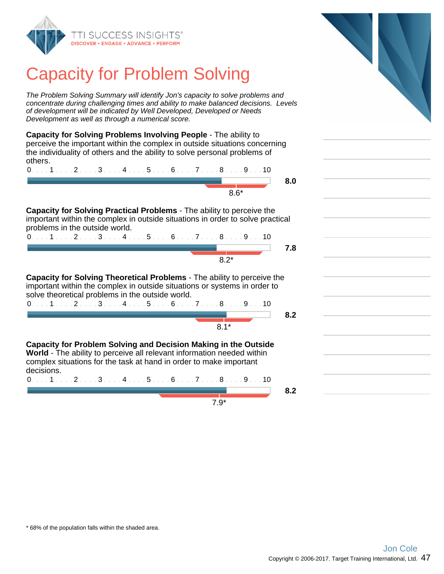

# Capacity for Problem Solving

The Problem Solving Summary will identify Jon's capacity to solve problems and concentrate during challenging times and ability to make balanced decisions. Levels of development will be indicated by Well Developed, Developed or Needs Development as well as through a numerical score.

**Capacity for Solving Problems Involving People** - The ability to perceive the important within the complex in outside situations concerning the individuality of others and the ability to solve personal problems of others.



**Capacity for Solving Practical Problems** - The ability to perceive the important within the complex in outside situations in order to solve practical problems in the outside world.

| $0. \ldots 1 \ldots 2 \ldots 3 \ldots 4 \ldots 5 \ldots 6 \ldots 7 \ldots 8 \ldots 9 \ldots 10$ |  |  |  |
|-------------------------------------------------------------------------------------------------|--|--|--|
|                                                                                                 |  |  |  |
|                                                                                                 |  |  |  |

**Capacity for Solving Theoretical Problems** - The ability to perceive the important within the complex in outside situations or systems in order to solve theoretical problems in the outside world.

| 0. 1 2 3 4 5 6 7 8 9 10 |  |  |  |  |  |
|-------------------------|--|--|--|--|--|
|                         |  |  |  |  |  |
|                         |  |  |  |  |  |

**Capacity for Problem Solving and Decision Making in the Outside World** - The ability to perceive all relevant information needed within complex situations for the task at hand in order to make important decisions.

0. . . . 1 . . . . 2 . . . . 3 . . . . 4 . . . . 5 . . . . 6 . . . . 7 . . . . 8 . . . . 9 . . . 10

7.9\*

**8.0**

**8.2**

**8.2**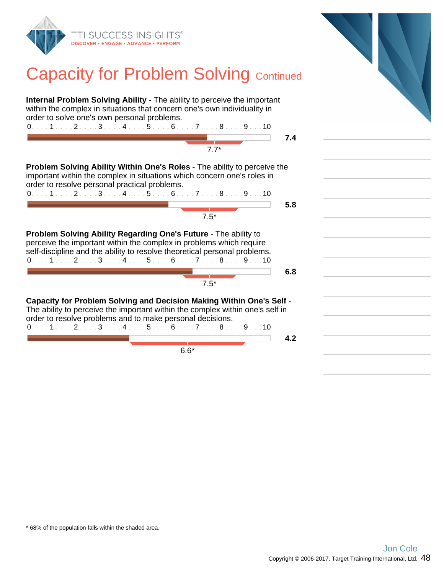

### **Capacity for Problem Solving Continued**

**Internal Problem Solving Ability** - The ability to perceive the important within the complex in situations that concern one's own individuality in order to solve one's own personal problems. 0. . . . 1 . . . . 2 . . . . 3 . . . . 4 . . . . 5 . . . . 6 . . . . 7 . . . . 8 . . . . 9 . . . 10 **7.4**  $\frac{1}{7}$ .7\* **Problem Solving Ability Within One's Roles** - The ability to perceive the important within the complex in situations which concern one's roles in order to resolve personal practical problems. 0. . . . 1 . . . . 2 . . . . 3 . . . . 4 . . . . 5 . . . . 6 . . . . 7 . . . . 8 . . . . 9 . . . 10 **5.8**  $\frac{1}{7.5^{*}}$ **Problem Solving Ability Regarding One's Future** - The ability to perceive the important within the complex in problems which require self-discipline and the ability to resolve theoretical personal problems. 0. . . . 1 . . . . 2 . . . . 3 . . . . 4 . . . . 5 . . . . 6 . . . . 7 . . . . 8 . . . . 9 . . . 10 **6.8** and a strong of 7.5\* **Capacity for Problem Solving and Decision Making Within One's Self** - The ability to perceive the important within the complex within one's self in order to resolve problems and to make personal decisions. 0. . . . 1 . . . . 2 . . . . 3 . . . . 4 . . . . 5 . . . . 6 . . . . 7 . . . . 8 . . . . 9 . . . 10 **4.2** 6.6\*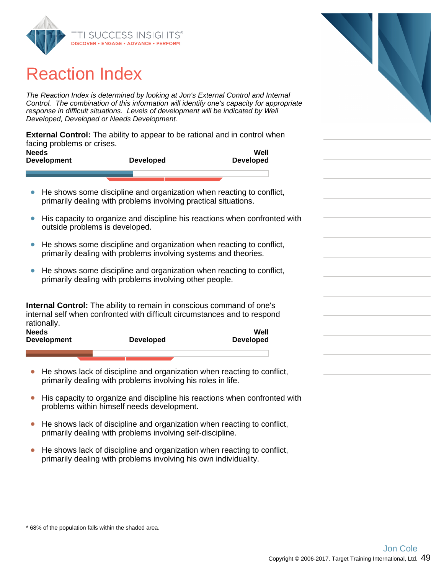

### Reaction Index

The Reaction Index is determined by looking at Jon's External Control and Internal Control. The combination of this information will identify one's capacity for appropriate response in difficult situations. Levels of development will be indicated by Well Developed, Developed or Needs Development.

**External Control:** The ability to appear to be rational and in control when facing problems or crises.

| <b>Needs</b><br><b>Development</b> | <b>Developed</b> | Well<br><b>Developed</b> |
|------------------------------------|------------------|--------------------------|
|                                    |                  |                          |

- He shows some discipline and organization when reacting to conflict,  $\bullet$ primarily dealing with problems involving practical situations.
- $\bullet$ His capacity to organize and discipline his reactions when confronted with outside problems is developed.
- He shows some discipline and organization when reacting to conflict, primarily dealing with problems involving systems and theories.
- He shows some discipline and organization when reacting to conflict,  $\bullet$ primarily dealing with problems involving other people.

**Internal Control:** The ability to remain in conscious command of one's internal self when confronted with difficult circumstances and to respond rationally. **Well**

| Needs<br><b>Development</b> | Developed | Well<br><b>Developed</b> |
|-----------------------------|-----------|--------------------------|
|                             |           |                          |

- He shows lack of discipline and organization when reacting to conflict,  $\bullet$ primarily dealing with problems involving his roles in life.
- His capacity to organize and discipline his reactions when confronted with problems within himself needs development.
- He shows lack of discipline and organization when reacting to conflict, primarily dealing with problems involving self-discipline.
- He shows lack of discipline and organization when reacting to conflict,  $\bullet$ primarily dealing with problems involving his own individuality.

<sup>\* 68%</sup> of the population falls within the shaded area.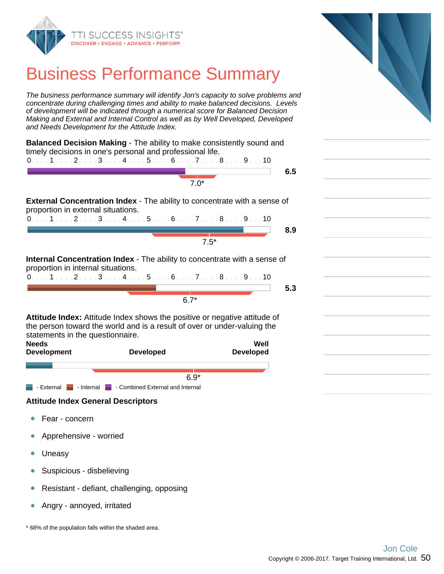

### Business Performance Summary

The business performance summary will identify Jon's capacity to solve problems and concentrate during challenging times and ability to make balanced decisions. Levels of development will be indicated through a numerical score for Balanced Decision Making and External and Internal Control as well as by Well Developed, Developed and Needs Development for the Attitude Index.

|                                    | <b>Balanced Decision Making - The ability to make consistently sound and</b>                                                                                 |                  |     |
|------------------------------------|--------------------------------------------------------------------------------------------------------------------------------------------------------------|------------------|-----|
|                                    | timely decisions in one's personal and professional life.<br>$0.1.1.1.1.2.1.13.1.14.1.1.5.1.16.1.17.1.18.1.19.1.10$                                          |                  |     |
|                                    |                                                                                                                                                              |                  | 6.5 |
|                                    | $7.0*$                                                                                                                                                       |                  |     |
|                                    |                                                                                                                                                              |                  |     |
| proportion in external situations. | <b>External Concentration Index - The ability to concentrate with a sense of</b>                                                                             |                  |     |
|                                    | $0.1.1.1.1.2.1.13.1.14.1.15.1.16.1.17.1.18.1.19.1.10$                                                                                                        |                  |     |
|                                    |                                                                                                                                                              |                  | 8.9 |
|                                    |                                                                                                                                                              | $7.5*$           |     |
|                                    |                                                                                                                                                              |                  |     |
| proportion in internal situations. | <b>Internal Concentration Index</b> - The ability to concentrate with a sense of                                                                             |                  |     |
|                                    | $0. \ldots 1. \ldots 2. \ldots 3. \ldots 4. \ldots 5. \ldots 6. \ldots 7. \ldots 8. \ldots 9. \ldots 10$                                                     |                  |     |
|                                    |                                                                                                                                                              |                  | 5.3 |
|                                    | $6.7*$                                                                                                                                                       |                  |     |
|                                    |                                                                                                                                                              |                  |     |
| statements in the questionnaire.   | <b>Attitude Index:</b> Attitude Index shows the positive or negative attitude of<br>the person toward the world and is a result of over or under-valuing the |                  |     |
| <b>Needs</b>                       |                                                                                                                                                              | Well             |     |
| <b>Development</b>                 | <b>Developed</b>                                                                                                                                             | <b>Developed</b> |     |
|                                    |                                                                                                                                                              |                  |     |
|                                    |                                                                                                                                                              |                  |     |
|                                    | $6.9*$                                                                                                                                                       |                  |     |

- External - Internal - Combined External and Internal

#### **Attitude Index General Descriptors**

- $\bullet$ Fear - concern
- Apprehensive worried  $\bullet$
- Uneasy  $\bullet$
- Suspicious disbelieving  $\bullet$
- Resistant defiant, challenging, opposing  $\bullet$
- $\bullet$ Angry - annoyed, irritated

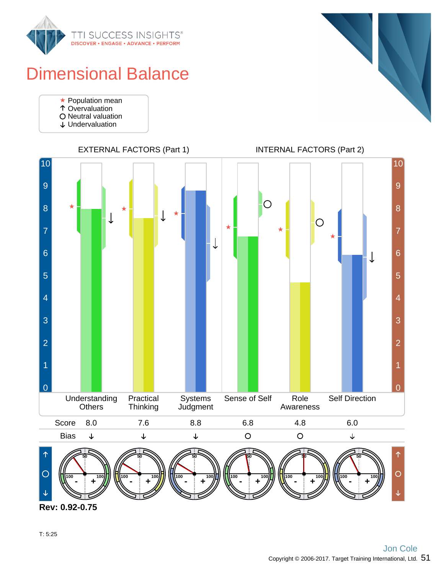

## Dimensional Balance

- Population mean
- Overvaluation
- O Neutral valuation
- Undervaluation



**Rev: 0.92-0.75**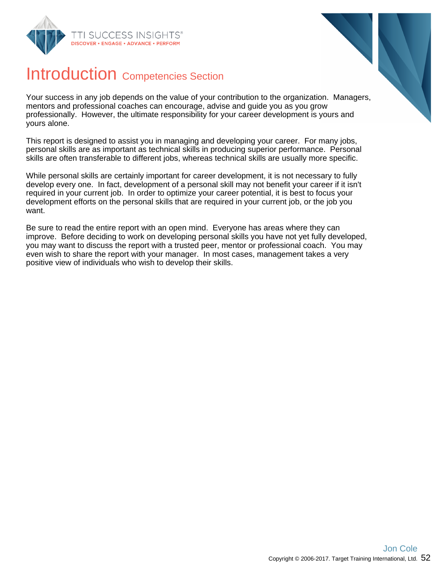



### Introduction Competencies Section

Your success in any job depends on the value of your contribution to the organization. Managers, mentors and professional coaches can encourage, advise and guide you as you grow professionally. However, the ultimate responsibility for your career development is yours and yours alone.

This report is designed to assist you in managing and developing your career. For many jobs, personal skills are as important as technical skills in producing superior performance. Personal skills are often transferable to different jobs, whereas technical skills are usually more specific.

While personal skills are certainly important for career development, it is not necessary to fully develop every one. In fact, development of a personal skill may not benefit your career if it isn't required in your current job. In order to optimize your career potential, it is best to focus your development efforts on the personal skills that are required in your current job, or the job you want.

Be sure to read the entire report with an open mind. Everyone has areas where they can improve. Before deciding to work on developing personal skills you have not yet fully developed, you may want to discuss the report with a trusted peer, mentor or professional coach. You may even wish to share the report with your manager. In most cases, management takes a very positive view of individuals who wish to develop their skills.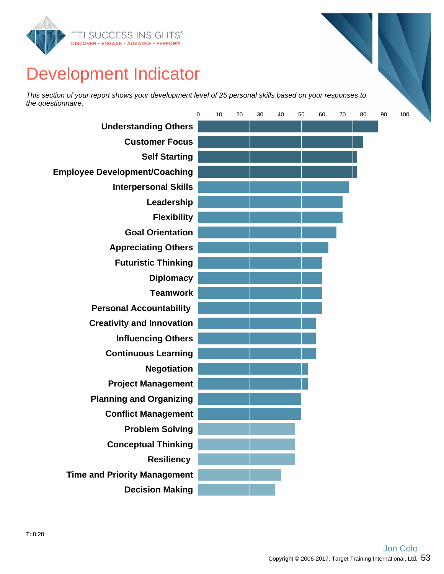

# Development Indicator

This section of your report shows your development level of 25 personal skills based on your responses to the questionnaire.

|                                      | $\mathbf 0$ | 10 | 20 | 30 | 40 | 50 | 60 | 70 | 80 | 90 | 100 |  |
|--------------------------------------|-------------|----|----|----|----|----|----|----|----|----|-----|--|
| <b>Understanding Others</b>          |             |    |    |    |    |    |    |    |    |    |     |  |
| <b>Customer Focus</b>                |             |    |    |    |    |    |    |    |    |    |     |  |
| <b>Self Starting</b>                 |             |    |    |    |    |    |    |    |    |    |     |  |
| <b>Employee Development/Coaching</b> |             |    |    |    |    |    |    |    |    |    |     |  |
| <b>Interpersonal Skills</b>          |             |    |    |    |    |    |    |    |    |    |     |  |
| Leadership                           |             |    |    |    |    |    |    |    |    |    |     |  |
| <b>Flexibility</b>                   |             |    |    |    |    |    |    |    |    |    |     |  |
| <b>Goal Orientation</b>              |             |    |    |    |    |    |    |    |    |    |     |  |
| <b>Appreciating Others</b>           |             |    |    |    |    |    |    |    |    |    |     |  |
| <b>Futuristic Thinking</b>           |             |    |    |    |    |    |    |    |    |    |     |  |
| <b>Diplomacy</b>                     |             |    |    |    |    |    |    |    |    |    |     |  |
| <b>Teamwork</b>                      |             |    |    |    |    |    |    |    |    |    |     |  |
| <b>Personal Accountability</b>       |             |    |    |    |    |    |    |    |    |    |     |  |
| <b>Creativity and Innovation</b>     |             |    |    |    |    |    |    |    |    |    |     |  |
| <b>Influencing Others</b>            |             |    |    |    |    |    |    |    |    |    |     |  |
| <b>Continuous Learning</b>           |             |    |    |    |    |    |    |    |    |    |     |  |
| <b>Negotiation</b>                   |             |    |    |    |    |    |    |    |    |    |     |  |
| <b>Project Management</b>            |             |    |    |    |    |    |    |    |    |    |     |  |
| <b>Planning and Organizing</b>       |             |    |    |    |    |    |    |    |    |    |     |  |
| <b>Conflict Management</b>           |             |    |    |    |    |    |    |    |    |    |     |  |
| <b>Problem Solving</b>               |             |    |    |    |    |    |    |    |    |    |     |  |
| <b>Conceptual Thinking</b>           |             |    |    |    |    |    |    |    |    |    |     |  |
| <b>Resiliency</b>                    |             |    |    |    |    |    |    |    |    |    |     |  |
| <b>Time and Priority Management</b>  |             |    |    |    |    |    |    |    |    |    |     |  |
| <b>Decision Making</b>               |             |    |    |    |    |    |    |    |    |    |     |  |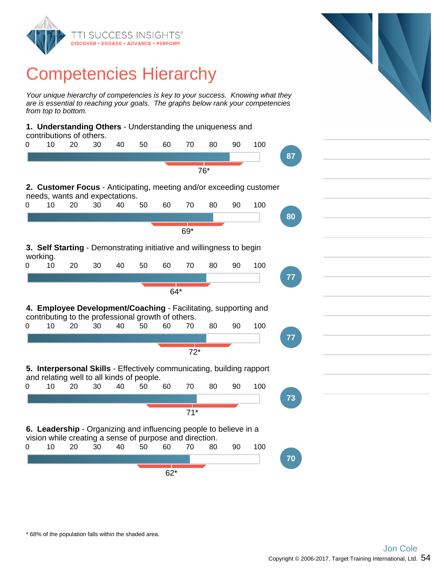

### Competencies Hierarchy

Your unique hierarchy of competencies is key to your success. Knowing what they are is essential to reaching your goals. The graphs below rank your competencies from top to bottom.

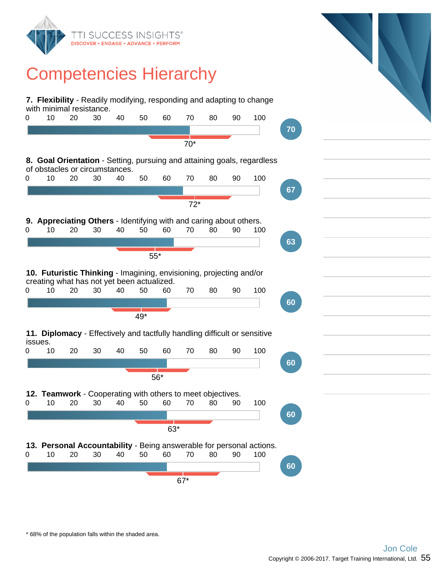

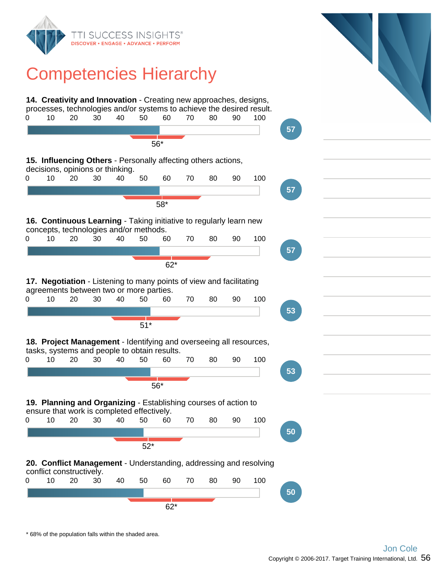

### Competencies Hierarchy

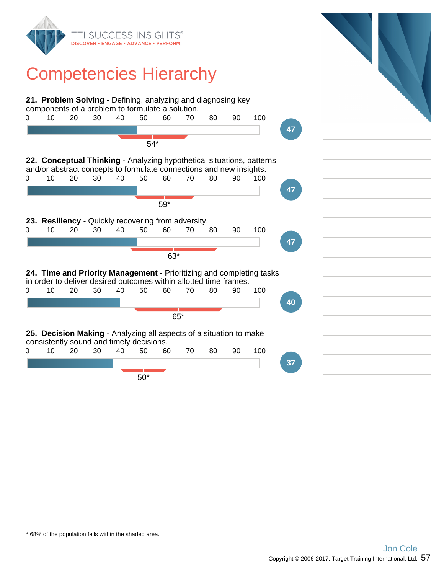

### Competencies Hierarchy

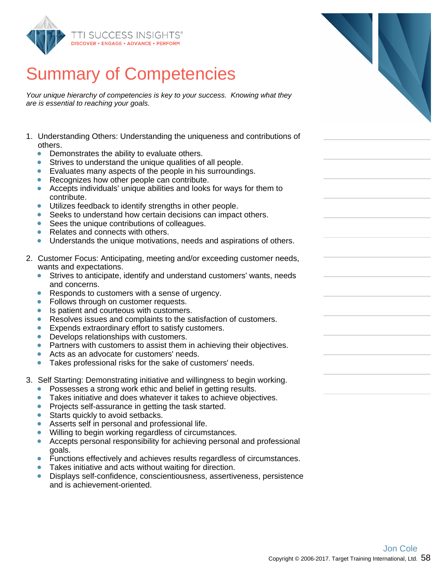

Your unique hierarchy of competencies is key to your success. Knowing what they are is essential to reaching your goals.

- 1. Understanding Others: Understanding the uniqueness and contributions of others.
	- $\bullet$ Demonstrates the ability to evaluate others.
	- $\bullet$ Strives to understand the unique qualities of all people.
	- Evaluates many aspects of the people in his surroundings.  $\bullet$
	- Recognizes how other people can contribute.
	- Accepts individuals' unique abilities and looks for ways for them to  $\bullet$ contribute.
	- Utilizes feedback to identify strengths in other people.  $\bullet$
	- Seeks to understand how certain decisions can impact others. ŏ
	- ŏ Sees the unique contributions of colleagues.
	- Relates and connects with others.  $\bullet$
	- $\bullet$ Understands the unique motivations, needs and aspirations of others.
- 2. Customer Focus: Anticipating, meeting and/or exceeding customer needs, wants and expectations.
	- Strives to anticipate, identify and understand customers' wants, needs and concerns.
	- Responds to customers with a sense of urgency.
	- Follows through on customer requests.  $\bullet$
	- Is patient and courteous with customers.  $\bullet$
	- Resolves issues and complaints to the satisfaction of customers.  $\bullet$
	- Expends extraordinary effort to satisfy customers.  $\bullet$
	- Develops relationships with customers.  $\bullet$
	- $\bullet$ Partners with customers to assist them in achieving their objectives.
	- Acts as an advocate for customers' needs.
	- Takes professional risks for the sake of customers' needs.  $\bullet$
- 3. Self Starting: Demonstrating initiative and willingness to begin working.
	- Possesses a strong work ethic and belief in getting results.
	- $\bullet$ Takes initiative and does whatever it takes to achieve objectives.
	- Projects self-assurance in getting the task started.  $\bullet$
	- Starts quickly to avoid setbacks.
	- Asserts self in personal and professional life.
	- Willing to begin working regardless of circumstances.
	- $\bullet$ Accepts personal responsibility for achieving personal and professional goals.
	- Functions effectively and achieves results regardless of circumstances.
	- Takes initiative and acts without waiting for direction.
	- Displays self-confidence, conscientiousness, assertiveness, persistence  $\bullet$ and is achievement-oriented.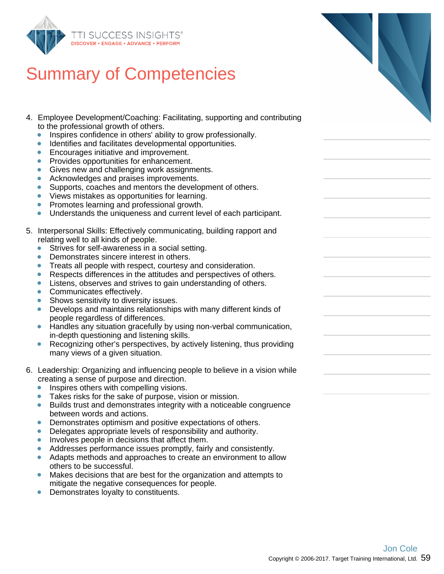

- 4. Employee Development/Coaching: Facilitating, supporting and contributing to the professional growth of others.
	- Inspires confidence in others' ability to grow professionally.  $\bullet$
	- Identifies and facilitates developmental opportunities.
	- Encourages initiative and improvement.  $\bullet$
	- Provides opportunities for enhancement.  $\bullet$
	- Gives new and challenging work assignments.  $\bullet$
	- $\bullet$ Acknowledges and praises improvements.
	- Supports, coaches and mentors the development of others.  $\bullet$
	- $\bullet$ Views mistakes as opportunities for learning.
	- Promotes learning and professional growth.
	- Understands the uniqueness and current level of each participant.  $\bullet$
- 5. Interpersonal Skills: Effectively communicating, building rapport and relating well to all kinds of people.
	- Strives for self-awareness in a social setting.
	- Demonstrates sincere interest in others.  $\bullet$
	- Treats all people with respect, courtesy and consideration.
	- Respects differences in the attitudes and perspectives of others.  $\bullet$
	- Listens, observes and strives to gain understanding of others.  $\bullet$
	- Communicates effectively.  $\bullet$
	- Shows sensitivity to diversity issues.
	- Develops and maintains relationships with many different kinds of people regardless of differences.
	- Handles any situation gracefully by using non-verbal communication,  $\bullet$ in-depth questioning and listening skills.
	- $\bullet$ Recognizing other's perspectives, by actively listening, thus providing many views of a given situation.
- 6. Leadership: Organizing and influencing people to believe in a vision while creating a sense of purpose and direction.
	- Inspires others with compelling visions.  $\bullet$
	- Takes risks for the sake of purpose, vision or mission.
	- Builds trust and demonstrates integrity with a noticeable congruence between words and actions.
	- Demonstrates optimism and positive expectations of others.  $\bullet$
	- Delegates appropriate levels of responsibility and authority.  $\bullet$
	- Involves people in decisions that affect them.
	- Addresses performance issues promptly, fairly and consistently.  $\bullet$
	- Adapts methods and approaches to create an environment to allow others to be successful.
	- Makes decisions that are best for the organization and attempts to mitigate the negative consequences for people.
	- Demonstrates loyalty to constituents.  $\bullet$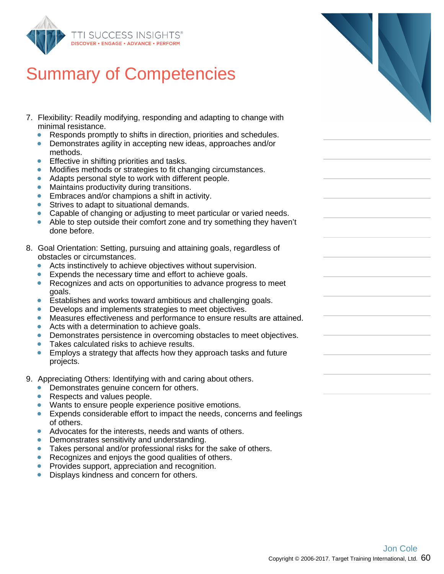

- 7. Flexibility: Readily modifying, responding and adapting to change with minimal resistance.
	- $\bullet$ Responds promptly to shifts in direction, priorities and schedules.
	- Demonstrates agility in accepting new ideas, approaches and/or methods.
	- Effective in shifting priorities and tasks.
	- Modifies methods or strategies to fit changing circumstances.  $\bullet$
	- Adapts personal style to work with different people.
	- Maintains productivity during transitions.  $\bullet$
	- $\bullet$ Embraces and/or champions a shift in activity.
	- Strives to adapt to situational demands.
	- Capable of changing or adjusting to meet particular or varied needs.
	- Able to step outside their comfort zone and try something they haven't done before.
- 8. Goal Orientation: Setting, pursuing and attaining goals, regardless of obstacles or circumstances.
	- Acts instinctively to achieve objectives without supervision.  $\bullet$
	- Expends the necessary time and effort to achieve goals.  $\bullet$
	- Recognizes and acts on opportunities to advance progress to meet goals.
	- $\bullet$ Establishes and works toward ambitious and challenging goals.
	- $\bullet$ Develops and implements strategies to meet objectives.
	- $\bullet$ Measures effectiveness and performance to ensure results are attained.
	- Acts with a determination to achieve goals.  $\bullet$
	- Demonstrates persistence in overcoming obstacles to meet objectives.
	- $\bullet$ Takes calculated risks to achieve results.
	- Employs a strategy that affects how they approach tasks and future  $\bullet$ projects.
- 9. Appreciating Others: Identifying with and caring about others.
	- Demonstrates genuine concern for others.
	- Respects and values people.
	- Wants to ensure people experience positive emotions.
	- $\bullet$ Expends considerable effort to impact the needs, concerns and feelings of others.
	- Advocates for the interests, needs and wants of others.
	- Demonstrates sensitivity and understanding.
	- $\bullet$ Takes personal and/or professional risks for the sake of others.
	- Recognizes and enjoys the good qualities of others.
	- Provides support, appreciation and recognition.
	- Displays kindness and concern for others.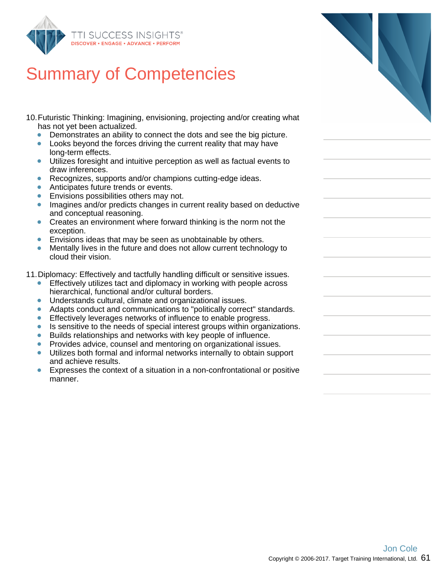

- 10. Futuristic Thinking: Imagining, envisioning, projecting and/or creation has not yet been actualized.
	- $\bullet$ Demonstrates an ability to connect the dots and see the big portal
	- Looks beyond the forces driving the current reality that may have long-term effects.
	- Utilizes foresight and intuitive perception as well as factual ev  $\bullet$ draw inferences.
	- Recognizes, supports and/or champions cutting-edge ideas.
	- Anticipates future trends or events.  $\bullet$
	- $\bullet$ Envisions possibilities others may not.
	- Imagines and/or predicts changes in current reality based on and conceptual reasoning.
	- $\bullet$ Creates an environment where forward thinking is the norm not exception.
	- Envisions ideas that may be seen as unobtainable by others.
	- Mentally lives in the future and does not allow current technology  $\bullet$ cloud their vision.
- 11. Diplomacy: Effectively and tactfully handling difficult or sensitive
	- Effectively utilizes tact and diplomacy in working with people hierarchical, functional and/or cultural borders.
	- $\bullet$ Understands cultural, climate and organizational issues.
	- Adapts conduct and communications to "politically correct" standards.  $\bullet$
	- ŏ Effectively leverages networks of influence to enable progres.
	- $\bullet$ Is sensitive to the needs of special interest groups within organizations.
	- Builds relationships and networks with key people of influence  $\bullet$
	- Provides advice, counsel and mentoring on organizational issues.
	- Utilizes both formal and informal networks internally to obtain  $\bullet$ and achieve results.
	- Expresses the context of a situation in a non-confrontational  $\bullet$ manner.

| ating what                                     |  |
|------------------------------------------------|--|
| picture.<br>าave                               |  |
| vents to                                       |  |
| deductive                                      |  |
| าot the                                        |  |
| logy to                                        |  |
| issues.<br>across                              |  |
| tandards.<br>SS.<br>anizations.<br>æ.<br>sues. |  |
| support ו                                      |  |
| or positive                                    |  |
|                                                |  |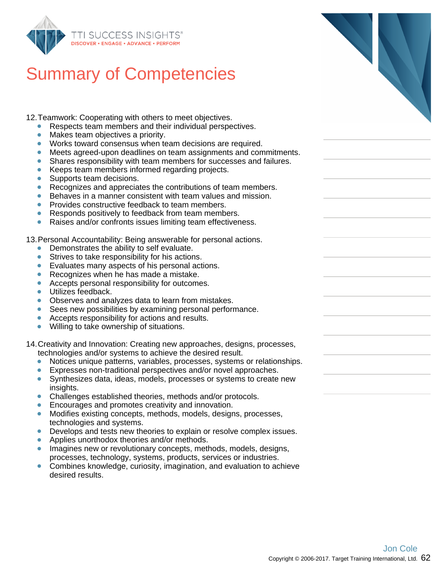

12.Teamwork: Cooperating with others to meet objectives.

- Respects team members and their individual perspectives.
- Makes team objectives a priority.  $\bullet$
- Works toward consensus when team decisions are required.
- Meets agreed-upon deadlines on team assignments and commitments.
- Shares responsibility with team members for successes and failures.
- Keeps team members informed regarding projects.  $\bullet$
- $\bullet$ Supports team decisions.
- Recognizes and appreciates the contributions of team members.  $\bullet$
- $\bullet$ Behaves in a manner consistent with team values and mission.
- Provides constructive feedback to team members.
- Responds positively to feedback from team members.  $\bullet$
- $\bullet$ Raises and/or confronts issues limiting team effectiveness.

13.Personal Accountability: Being answerable for personal actions.

- Demonstrates the ability to self evaluate.  $\bullet$
- Strives to take responsibility for his actions.  $\bullet$
- Evaluates many aspects of his personal actions.
- Recognizes when he has made a mistake.  $\bullet$
- Accepts personal responsibility for outcomes.
- Utilizes feedback.  $\bullet$
- Observes and analyzes data to learn from mistakes.
- Sees new possibilities by examining personal performance.  $\bullet$
- Accepts responsibility for actions and results.
- Willing to take ownership of situations.  $\bullet$

14.Creativity and Innovation: Creating new approaches, designs, processes, technologies and/or systems to achieve the desired result.

- $\bullet$ Notices unique patterns, variables, processes, systems or relationships.
- $\bullet$ Expresses non-traditional perspectives and/or novel approaches.
- $\bullet$ Synthesizes data, ideas, models, processes or systems to create new insights.
- Challenges established theories, methods and/or protocols.
- Encourages and promotes creativity and innovation.
- $\bullet$ Modifies existing concepts, methods, models, designs, processes, technologies and systems.
- Develops and tests new theories to explain or resolve complex issues.
- Applies unorthodox theories and/or methods.  $\bullet$
- Imagines new or revolutionary concepts, methods, models, designs, processes, technology, systems, products, services or industries.
- Combines knowledge, curiosity, imagination, and evaluation to achieve desired results.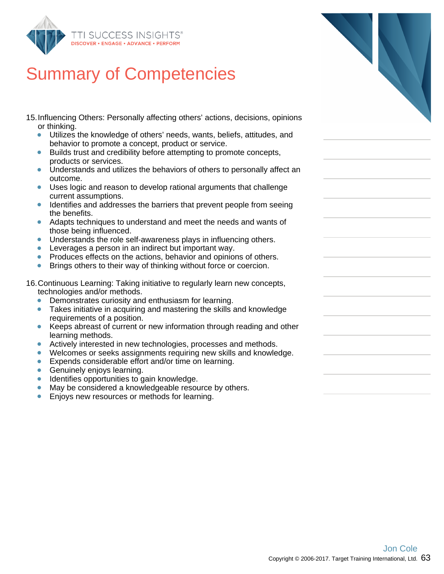

- 15.Influencing Others: Personally affecting others' actions, decisions, opinions or thinking.
	- $\bullet$ Utilizes the knowledge of others' needs, wants, beliefs, attitudes, and behavior to promote a concept, product or service.
	- Builds trust and credibility before attempting to promote concepts,  $\bullet$ products or services.
	- Understands and utilizes the behaviors of others to personally affect an  $\bullet$ outcome.
	- Uses logic and reason to develop rational arguments that challenge current assumptions.
	- Identifies and addresses the barriers that prevent people from seeing the benefits.
	- Adapts techniques to understand and meet the needs and wants of those being influenced.
	- **Understands the role self-awareness plays in influencing others.**
	- Leverages a person in an indirect but important way.
	- Produces effects on the actions, behavior and opinions of others.
	- Brings others to their way of thinking without force or coercion.

16.Continuous Learning: Taking initiative to regularly learn new concepts, technologies and/or methods.

- Demonstrates curiosity and enthusiasm for learning.
- Takes initiative in acquiring and mastering the skills and knowledge requirements of a position.
- Keeps abreast of current or new information through reading and other  $\bullet$ learning methods.
- Actively interested in new technologies, processes and methods.  $\bullet$
- Welcomes or seeks assignments requiring new skills and knowledge.
- **Expends considerable effort and/or time on learning.**
- **Genuinely enjoys learning.**
- Identifies opportunities to gain knowledge.
- May be considered a knowledgeable resource by others.  $\bullet$
- Enjoys new resources or methods for learning.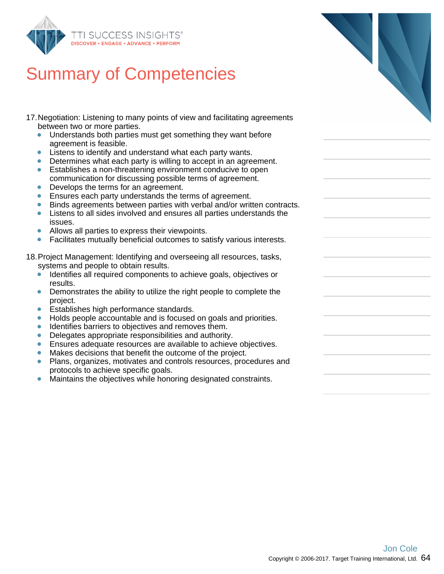

# Summary of Com

- 17. Negotiation: Listening to man between two or more parties.
	- Understands both parties  $\bullet$ agreement is feasible.
	- Listens to identify and und  $\bullet$
	- $\bullet$ Determines what each pa
	- Establishes a non-threate  $\bullet$ communication for discus
	- Develops the terms for an  $\bullet$
	- $\bullet$ Ensures each party under
	- Binds agreements betwee  $\bullet$
	- Listens to all sides involve  $\bullet$ issues.
	- Allows all parties to expre  $\bullet$
	- $\bullet$ Facilitates mutually benefi

18. Project Management: Identify systems and people to obtain

- Identifies all required com  $\bullet$ results.
- Demonstrates the ability t  $\bullet$ project.
- Establishes high performa  $\bullet$
- Holds people accountable  $\bullet$
- Identifies barriers to object  $\bullet$
- Delegates appropriate res  $\bullet$
- Ensures adequate resoure  $\bullet$
- $\bullet$ Makes decisions that benefit
- $\bullet$ Plans, organizes, motivate protocols to achieve spec
- Maintains the objectives v  $\bullet$

| NSIGHTS®<br><b>NCE · PERFORM</b>                                                                                                                                                                                                                                                                              |  |
|---------------------------------------------------------------------------------------------------------------------------------------------------------------------------------------------------------------------------------------------------------------------------------------------------------------|--|
| ompetencies                                                                                                                                                                                                                                                                                                   |  |
| ny points of view and facilitating agreements                                                                                                                                                                                                                                                                 |  |
| must get something they want before                                                                                                                                                                                                                                                                           |  |
| derstand what each party wants.<br>irty is willing to accept in an agreement.<br>ning environment conducive to open<br>sing possible terms of agreement.<br>agreement.<br>rstands the terms of agreement.<br>en parties with verbal and/or written contracts.<br>ed and ensures all parties understands the   |  |
| ss their viewpoints.<br>icial outcomes to satisfy various interests.                                                                                                                                                                                                                                          |  |
| ying and overseeing all resources, tasks,<br>า results.<br>ponents to achieve goals, objectives or                                                                                                                                                                                                            |  |
| o utilize the right people to complete the                                                                                                                                                                                                                                                                    |  |
| ance standards.<br>and is focused on goals and priorities.<br>ctives and removes them.<br>sponsibilities and authority.<br>ces are available to achieve objectives.<br>efit the outcome of the project.<br>es and controls resources, procedures and<br>ific goals.<br>while honoring designated constraints. |  |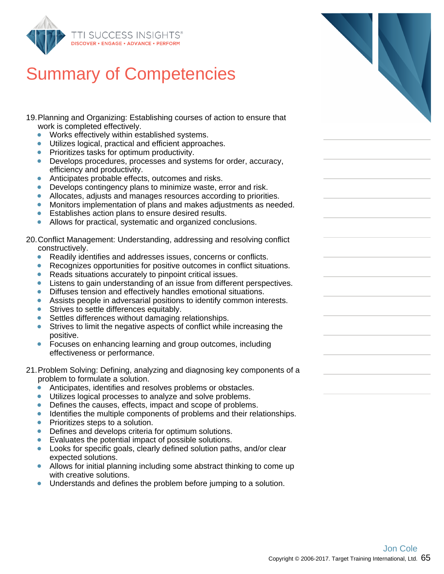

- 19.Planning and Organizing: Establishing courses of action to ensure that work is completed effectively.
	- $\bullet$ Works effectively within established systems.
	- Utilizes logical, practical and efficient approaches.
	- Prioritizes tasks for optimum productivity.
	- Develops procedures, processes and systems for order, accuracy,  $\bullet$ efficiency and productivity.
	- Anticipates probable effects, outcomes and risks.
	- Develops contingency plans to minimize waste, error and risk.  $\bullet$
	- $\bullet$ Allocates, adjusts and manages resources according to priorities.
	- Monitors implementation of plans and makes adjustments as needed.
	- Establishes action plans to ensure desired results.  $\bullet$
	- Allows for practical, systematic and organized conclusions.

20.Conflict Management: Understanding, addressing and resolving conflict constructively.

- $\bullet$ Readily identifies and addresses issues, concerns or conflicts.
- Recognizes opportunities for positive outcomes in conflict situations.
- Reads situations accurately to pinpoint critical issues.  $\bullet$
- Listens to gain understanding of an issue from different perspectives.  $\bullet$
- Diffuses tension and effectively handles emotional situations.  $\bullet$
- Assists people in adversarial positions to identify common interests.
- Strives to settle differences equitably.  $\bullet$
- ŏ Settles differences without damaging relationships.
- Strives to limit the negative aspects of conflict while increasing the positive.
- $\bullet$ Focuses on enhancing learning and group outcomes, including effectiveness or performance.
- 21.Problem Solving: Defining, analyzing and diagnosing key components of a problem to formulate a solution.
	- Anticipates, identifies and resolves problems or obstacles.  $\bullet$
	- Utilizes logical processes to analyze and solve problems.
	- Defines the causes, effects, impact and scope of problems.  $\bullet$
	- $\bullet$ Identifies the multiple components of problems and their relationships.
	- Prioritizes steps to a solution.  $\bullet$
	- Defines and develops criteria for optimum solutions.  $\bullet$
	- Evaluates the potential impact of possible solutions.
	- Looks for specific goals, clearly defined solution paths, and/or clear expected solutions.
	- Allows for initial planning including some abstract thinking to come up with creative solutions.
	- Understands and defines the problem before jumping to a solution.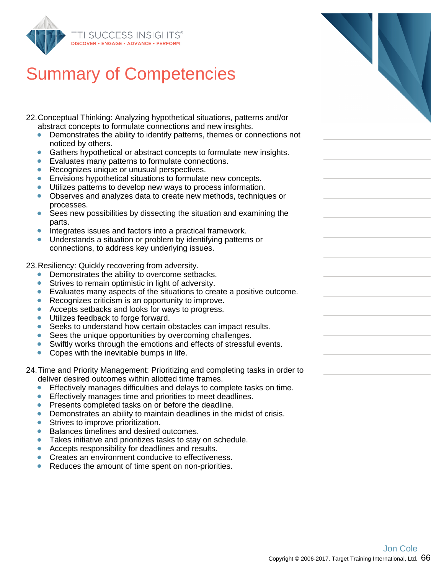

22.Conceptual Thinking: Analyzing hypothetical situations, patterns and/or abstract concepts to formulate connections and new insights.

- $\bullet$ Demonstrates the ability to identify patterns, themes or connections not noticed by others.
- Gathers hypothetical or abstract concepts to formulate new insights.  $\bullet$
- Evaluates many patterns to formulate connections.  $\bullet$
- Recognizes unique or unusual perspectives.  $\bullet$
- Envisions hypothetical situations to formulate new concepts.
- Utilizes patterns to develop new ways to process information.
- Observes and analyzes data to create new methods, techniques or processes.
- $\bullet$ Sees new possibilities by dissecting the situation and examining the parts.
- Integrates issues and factors into a practical framework.
- Understands a situation or problem by identifying patterns or connections, to address key underlying issues.

23.Resiliency: Quickly recovering from adversity.

- Demonstrates the ability to overcome setbacks.
- $\bullet$ Strives to remain optimistic in light of adversity.
- Evaluates many aspects of the situations to create a positive outcome.
- Recognizes criticism is an opportunity to improve.
- Accepts setbacks and looks for ways to progress.  $\bullet$
- Utilizes feedback to forge forward.
- ŏ Seeks to understand how certain obstacles can impact results.
- Sees the unique opportunities by overcoming challenges.  $\bullet$
- Swiftly works through the emotions and effects of stressful events.  $\bullet$
- ŏ Copes with the inevitable bumps in life.

24.Time and Priority Management: Prioritizing and completing tasks in order to deliver desired outcomes within allotted time frames.

- Effectively manages difficulties and delays to complete tasks on time.  $\bullet$
- Effectively manages time and priorities to meet deadlines.
- **Presents completed tasks on or before the deadline.**
- $\bullet$ Demonstrates an ability to maintain deadlines in the midst of crisis.
- Strives to improve prioritization.  $\bullet$
- Balances timelines and desired outcomes.
- Takes initiative and prioritizes tasks to stay on schedule.  $\bullet$
- $\bullet$ Accepts responsibility for deadlines and results.
- Creates an environment conducive to effectiveness.
- Reduces the amount of time spent on non-priorities.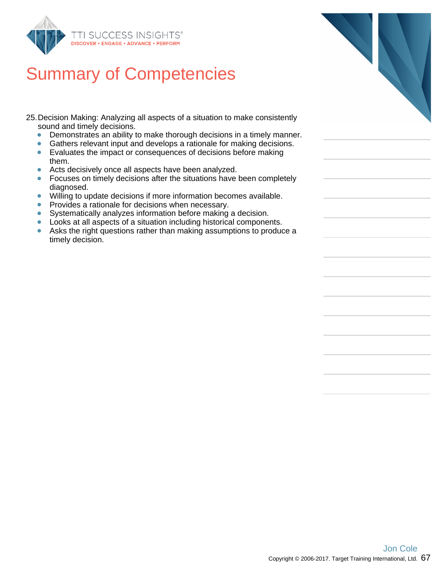

25.Decision Making: Analyzing all aspects of a situation to make consistently sound and timely decisions.

- $\bullet$ Demonstrates an ability to make thorough decisions in a timely manner.
- $\bullet$ Gathers relevant input and develops a rationale for making decisions.
- Evaluates the impact or consequences of decisions before making them.
- Acts decisively once all aspects have been analyzed.  $\bullet$
- $\bullet$ Focuses on timely decisions after the situations have been completely diagnosed.
- $\bullet$ Willing to update decisions if more information becomes available.
- Provides a rationale for decisions when necessary.  $\bullet$
- Systematically analyzes information before making a decision.  $\bullet$
- $\bullet$ Looks at all aspects of a situation including historical components.
- $\bullet$ Asks the right questions rather than making assumptions to produce a timely decision.